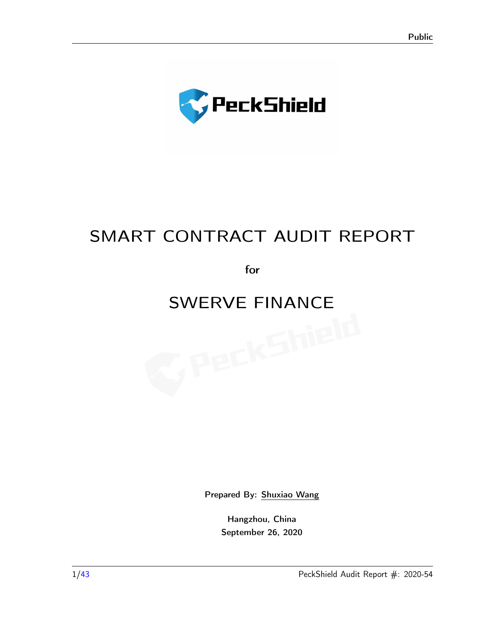

# SMART CONTRACT AUDIT REPORT

for

# SWERVE FINANCE<br>
SWERVE FINANCE<br>
SWERVE FINANCE

Prepared By: [Shuxiao Wang](sxwang@peckshield.com)

Hangzhou, China September 26, 2020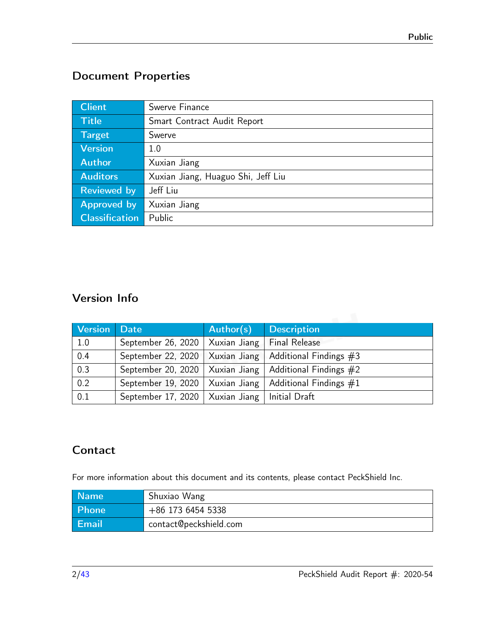# Document Properties

| <b>Client</b>         | Swerve Finance                     |
|-----------------------|------------------------------------|
| Title                 | Smart Contract Audit Report        |
| Target                | Swerve                             |
| <b>Version</b>        | 1.0                                |
| <b>Author</b>         | Xuxian Jiang                       |
| <b>Auditors</b>       | Xuxian Jiang, Huaguo Shi, Jeff Liu |
| <b>Reviewed by</b>    | Jeff Liu                           |
| Approved by           | Xuxian Jiang                       |
| <b>Classification</b> | Public                             |

# Version Info

| <b>Version</b> | <b>Date</b>        | Author(s)    | <b>Description</b>       |
|----------------|--------------------|--------------|--------------------------|
| 1.0            | September 26, 2020 | Xuxian Jiang | <b>Final Release</b>     |
| 0.4            | September 22, 2020 | Xuxian Jiang | Additional Findings $#3$ |
| 0.3            | September 20, 2020 | Xuxian Jiang | Additional Findings $#2$ |
| 0.2            | September 19, 2020 | Xuxian Jiang | Additional Findings $#1$ |
| 0.1            | September 17, 2020 | Xuxian Jiang | Initial Draft            |

# **Contact**

For more information about this document and its contents, please contact PeckShield Inc.

| <b>Name</b>  | Shuxiao Wang           |
|--------------|------------------------|
| <b>Phone</b> | +86 173 6454 5338      |
| <b>Email</b> | contact@peckshield.com |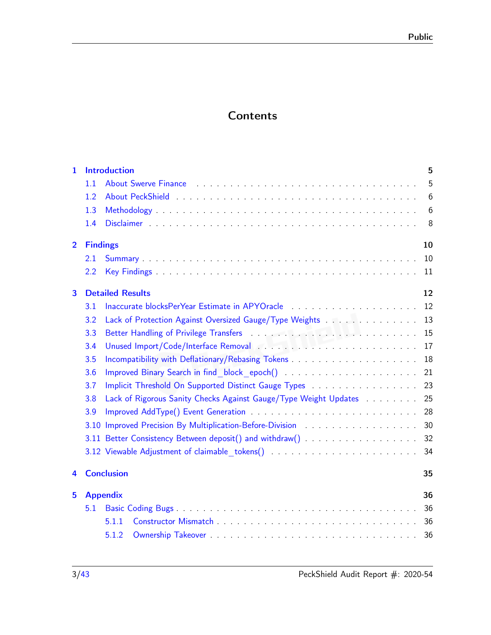# **Contents**

| 1.             | <b>Introduction</b>                                                                                                                                                                                                                   | 5  |
|----------------|---------------------------------------------------------------------------------------------------------------------------------------------------------------------------------------------------------------------------------------|----|
|                | About Swerve Finance Albert 2012 . Albert 2014 . About Swerve Finance Albert 2014 . Albert 2014 . Albert 2014<br>1.1                                                                                                                  | 5  |
|                | 1.2                                                                                                                                                                                                                                   | 6  |
|                | 1.3                                                                                                                                                                                                                                   | 6  |
|                | 1.4                                                                                                                                                                                                                                   | 8  |
| $\overline{2}$ | <b>Findings</b>                                                                                                                                                                                                                       | 10 |
|                | 2.1                                                                                                                                                                                                                                   | 10 |
|                | 2.2                                                                                                                                                                                                                                   | 11 |
| 3              | <b>Detailed Results</b>                                                                                                                                                                                                               | 12 |
|                | Inaccurate blocksPerYear Estimate in APYOracle Manuscription and Contact and Contact and Theorem and Theorem and Theorem and Theorem and Theorem and Theorem and Theorem and Theorem and Theorem and Theorem and Theorem and T<br>3.1 | 12 |
|                | Lack of Protection Against Oversized Gauge/Type Weights<br>3.2                                                                                                                                                                        | 13 |
|                | 3.3                                                                                                                                                                                                                                   | 15 |
|                | Unused Import/Code/Interface Removal Advised Links and Advisory Advisory Advisory 2014<br>3.4                                                                                                                                         | 17 |
|                | 3.5                                                                                                                                                                                                                                   | 18 |
|                | 3.6                                                                                                                                                                                                                                   | 21 |
|                | Implicit Threshold On Supported Distinct Gauge Types<br>3.7                                                                                                                                                                           | 23 |
|                | Lack of Rigorous Sanity Checks Against Gauge/Type Weight Updates<br>3.8                                                                                                                                                               | 25 |
|                | 3.9                                                                                                                                                                                                                                   | 28 |
|                | 3.10 Improved Precision By Multiplication-Before-Division                                                                                                                                                                             | 30 |
|                | 3.11 Better Consistency Between deposit() and withdraw()                                                                                                                                                                              | 32 |
|                | 3.12 Viewable Adjustment of claimable tokens()                                                                                                                                                                                        | 34 |
| 4              | <b>Conclusion</b>                                                                                                                                                                                                                     | 35 |
| 5              | <b>Appendix</b>                                                                                                                                                                                                                       | 36 |
|                | 5.1                                                                                                                                                                                                                                   | 36 |
|                | 5.1.1                                                                                                                                                                                                                                 | 36 |
|                | 5.1.2                                                                                                                                                                                                                                 | 36 |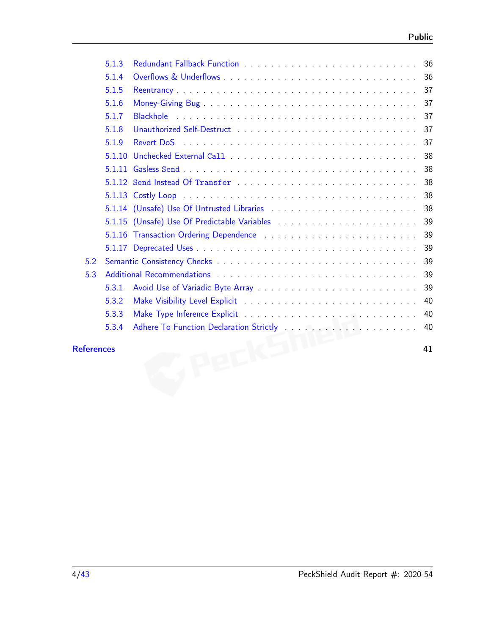|     | 5.1.3  |                                                                                                               |    |
|-----|--------|---------------------------------------------------------------------------------------------------------------|----|
|     | 5.1.4  |                                                                                                               |    |
|     | 5.1.5  |                                                                                                               |    |
|     | 5.1.6  |                                                                                                               | 37 |
|     | 5.1.7  |                                                                                                               | 37 |
|     | 5.1.8  |                                                                                                               | 37 |
|     | 5.1.9  |                                                                                                               | 37 |
|     | 5.1.10 |                                                                                                               | 38 |
|     |        |                                                                                                               | 38 |
|     |        |                                                                                                               | 38 |
|     |        |                                                                                                               |    |
|     |        |                                                                                                               |    |
|     |        |                                                                                                               |    |
|     |        | 5.1.16 Transaction Ordering Dependence enters and such a series of the state of the state of the state of the |    |
|     |        |                                                                                                               |    |
| 5.2 |        |                                                                                                               | 39 |
| 5.3 |        |                                                                                                               | 39 |
|     | 5.3.1  |                                                                                                               | 39 |
|     | 5.3.2  |                                                                                                               | 40 |
|     | 5.3.3  |                                                                                                               | 40 |
|     | 5.3.4  |                                                                                                               | 40 |
|     |        |                                                                                                               |    |

#### [References](#page-40-0) 41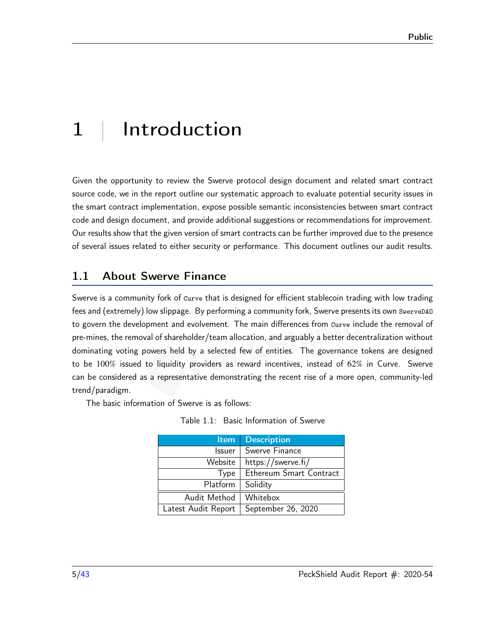# <span id="page-4-0"></span>1 | Introduction

Given the opportunity to review the Swerve protocol design document and related smart contract source code, we in the report outline our systematic approach to evaluate potential security issues in the smart contract implementation, expose possible semantic inconsistencies between smart contract code and design document, and provide additional suggestions or recommendations for improvement. Our results show that the given version of smart contracts can be further improved due to the presence of several issues related to either security or performance. This document outlines our audit results.

# <span id="page-4-1"></span>1.1 About Swerve Finance

Swerve is a community fork of Curve that is designed for efficient stablecoin trading with low trading fees and (extremely) low slippage. By performing a community fork, Swerve presents its own SwerveDAO to govern the development and evolvement. The main differences from curve include the removal of pre-mines, the removal of shareholder/team allocation, and arguably a better decentralization without dominating voting powers held by a selected few of entities. The governance tokens are designed to be 100% issued to liquidity providers as reward incentives, instead of 62% in Curve. Swerve can be considered as a representative demonstrating the recent rise of a more open, community-led trend/paradigm.

The basic information of Swerve is as follows:

|  | Table 1.1: Basic Information of Swerve |  |
|--|----------------------------------------|--|
|  |                                        |  |

| <b>Item</b>         | <b>Description</b>      |  |
|---------------------|-------------------------|--|
| Issuer              | Swerve Finance          |  |
| Website             | https://swerve.fi/      |  |
| Type                | Ethereum Smart Contract |  |
| Platform            | Solidity                |  |
| Audit Method        | Whitebox                |  |
| Latest Audit Report | September 26, 2020      |  |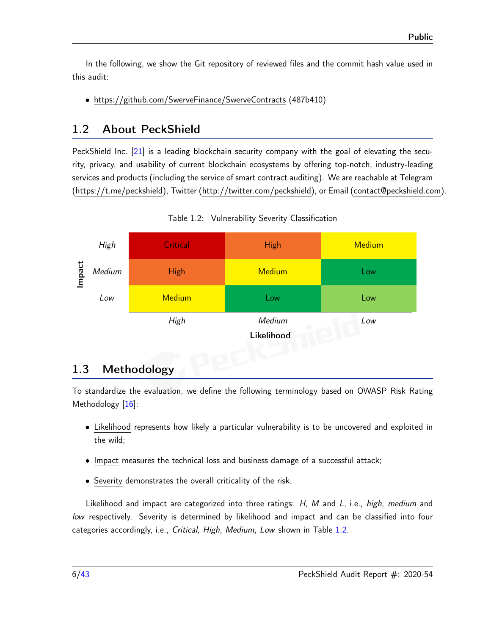In the following, we show the Git repository of reviewed files and the commit hash value used in this audit:

• https://github.com/SwerveFinance/SwerveContracts (487b410)

# <span id="page-5-0"></span>1.2 About PeckShield

PeckShield Inc. [\[21\]](#page-41-0) is a leading blockchain security company with the goal of elevating the security, privacy, and usability of current blockchain ecosystems by offering top-notch, industry-leading services and products (including the service of smart contract auditing). We are reachable at Telegram [\(https://t.me/peckshield\)](https://t.me/peckshield), Twitter [\(http://twitter.com/peckshield\)](http://twitter.com/peckshield), or Email [\(contact@peckshield.com\)](contact@peckshield.com).

<span id="page-5-2"></span>

Table 1.2: Vulnerability Severity Classification

# <span id="page-5-1"></span>1.3 Methodology

To standardize the evaluation, we define the following terminology based on OWASP Risk Rating Methodology [\[16\]](#page-41-1):

- Likelihood represents how likely a particular vulnerability is to be uncovered and exploited in the wild;
- Impact measures the technical loss and business damage of a successful attack;
- Severity demonstrates the overall criticality of the risk.

Likelihood and impact are categorized into three ratings: H, M and L, i.e., high, medium and low respectively. Severity is determined by likelihood and impact and can be classified into four categories accordingly, i.e., Critical, High, Medium, Low shown in Table [1.2.](#page-5-2)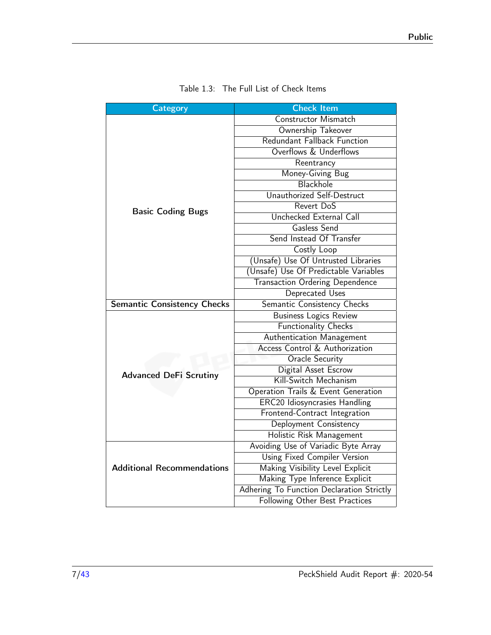<span id="page-6-0"></span>

| Category                           | <b>Check Item</b>                         |  |  |
|------------------------------------|-------------------------------------------|--|--|
|                                    | Constructor Mismatch                      |  |  |
|                                    | Ownership Takeover                        |  |  |
|                                    | Redundant Fallback Function               |  |  |
|                                    | Overflows & Underflows                    |  |  |
|                                    | Reentrancy                                |  |  |
|                                    | Money-Giving Bug                          |  |  |
|                                    | Blackhole                                 |  |  |
|                                    | Unauthorized Self-Destruct                |  |  |
| <b>Basic Coding Bugs</b>           | Revert DoS                                |  |  |
|                                    | <b>Unchecked External Call</b>            |  |  |
|                                    | Gasless Send                              |  |  |
|                                    | Send Instead Of Transfer                  |  |  |
|                                    | Costly Loop                               |  |  |
|                                    | (Unsafe) Use Of Untrusted Libraries       |  |  |
|                                    | (Unsafe) Use Of Predictable Variables     |  |  |
|                                    | <b>Transaction Ordering Dependence</b>    |  |  |
|                                    | Deprecated Uses                           |  |  |
| <b>Semantic Consistency Checks</b> | Semantic Consistency Checks               |  |  |
|                                    | <b>Business Logics Review</b>             |  |  |
|                                    | <b>Functionality Checks</b>               |  |  |
|                                    | Authentication Management                 |  |  |
|                                    | Access Control & Authorization            |  |  |
|                                    | <b>Oracle Security</b>                    |  |  |
| <b>Advanced DeFi Scrutiny</b>      | Digital Asset Escrow                      |  |  |
|                                    | Kill-Switch Mechanism                     |  |  |
|                                    | Operation Trails & Event Generation       |  |  |
|                                    | <b>ERC20 Idiosyncrasies Handling</b>      |  |  |
|                                    | Frontend-Contract Integration             |  |  |
|                                    | Deployment Consistency                    |  |  |
|                                    | Holistic Risk Management                  |  |  |
|                                    | Avoiding Use of Variadic Byte Array       |  |  |
|                                    | Using Fixed Compiler Version              |  |  |
| <b>Additional Recommendations</b>  | Making Visibility Level Explicit          |  |  |
|                                    | Making Type Inference Explicit            |  |  |
|                                    | Adhering To Function Declaration Strictly |  |  |
|                                    | Following Other Best Practices            |  |  |

| Table 1.3: The Full List of Check Items |  |
|-----------------------------------------|--|
|-----------------------------------------|--|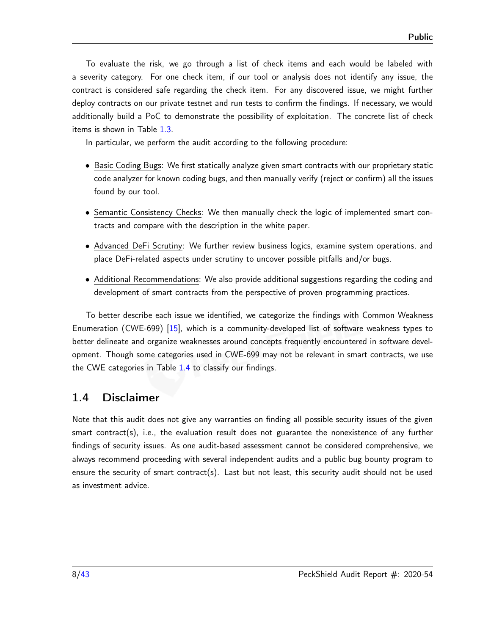To evaluate the risk, we go through a list of check items and each would be labeled with a severity category. For one check item, if our tool or analysis does not identify any issue, the contract is considered safe regarding the check item. For any discovered issue, we might further deploy contracts on our private testnet and run tests to confirm the findings. If necessary, we would additionally build a PoC to demonstrate the possibility of exploitation. The concrete list of check items is shown in Table [1.3.](#page-6-0)

In particular, we perform the audit according to the following procedure:

- Basic Coding Bugs: We first statically analyze given smart contracts with our proprietary static code analyzer for known coding bugs, and then manually verify (reject or confirm) all the issues found by our tool.
- Semantic Consistency Checks: We then manually check the logic of implemented smart contracts and compare with the description in the white paper.
- Advanced DeFi Scrutiny: We further review business logics, examine system operations, and place DeFi-related aspects under scrutiny to uncover possible pitfalls and/or bugs.
- Additional Recommendations: We also provide additional suggestions regarding the coding and development of smart contracts from the perspective of proven programming practices.

To better describe each issue we identified, we categorize the findings with Common Weakness Enumeration (CWE-699) [\[15\]](#page-41-2), which is a community-developed list of software weakness types to better delineate and organize weaknesses around concepts frequently encountered in software development. Though some categories used in CWE-699 may not be relevant in smart contracts, we use the CWE categories in Table [1.4](#page-8-0) to classify our findings.

#### <span id="page-7-0"></span>1.4 Disclaimer

Note that this audit does not give any warranties on finding all possible security issues of the given smart contract(s), i.e., the evaluation result does not guarantee the nonexistence of any further findings of security issues. As one audit-based assessment cannot be considered comprehensive, we always recommend proceeding with several independent audits and a public bug bounty program to ensure the security of smart contract(s). Last but not least, this security audit should not be used as investment advice.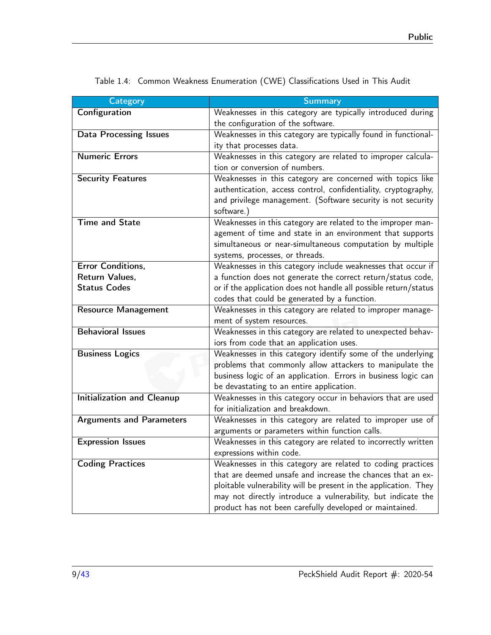| <b>Category</b>                   | <b>Summary</b>                                                                                           |
|-----------------------------------|----------------------------------------------------------------------------------------------------------|
| Configuration                     | Weaknesses in this category are typically introduced during                                              |
|                                   | the configuration of the software.                                                                       |
| <b>Data Processing Issues</b>     | Weaknesses in this category are typically found in functional-                                           |
|                                   | ity that processes data.                                                                                 |
| <b>Numeric Errors</b>             | Weaknesses in this category are related to improper calcula-                                             |
|                                   | tion or conversion of numbers.                                                                           |
| <b>Security Features</b>          | Weaknesses in this category are concerned with topics like                                               |
|                                   | authentication, access control, confidentiality, cryptography,                                           |
|                                   | and privilege management. (Software security is not security                                             |
|                                   | software.)                                                                                               |
| <b>Time and State</b>             | Weaknesses in this category are related to the improper man-                                             |
|                                   | agement of time and state in an environment that supports                                                |
|                                   | simultaneous or near-simultaneous computation by multiple                                                |
|                                   | systems, processes, or threads.                                                                          |
| Error Conditions,                 | Weaknesses in this category include weaknesses that occur if                                             |
| Return Values,                    | a function does not generate the correct return/status code,                                             |
| <b>Status Codes</b>               | or if the application does not handle all possible return/status                                         |
|                                   | codes that could be generated by a function.                                                             |
| <b>Resource Management</b>        | Weaknesses in this category are related to improper manage-                                              |
| <b>Behavioral Issues</b>          | ment of system resources.                                                                                |
|                                   | Weaknesses in this category are related to unexpected behav-<br>iors from code that an application uses. |
| <b>Business Logics</b>            | Weaknesses in this category identify some of the underlying                                              |
|                                   | problems that commonly allow attackers to manipulate the                                                 |
|                                   | business logic of an application. Errors in business logic can                                           |
|                                   | be devastating to an entire application.                                                                 |
| <b>Initialization and Cleanup</b> | Weaknesses in this category occur in behaviors that are used                                             |
|                                   | for initialization and breakdown.                                                                        |
| <b>Arguments and Parameters</b>   | Weaknesses in this category are related to improper use of                                               |
|                                   | arguments or parameters within function calls.                                                           |
| <b>Expression Issues</b>          | Weaknesses in this category are related to incorrectly written                                           |
|                                   | expressions within code.                                                                                 |
| <b>Coding Practices</b>           | Weaknesses in this category are related to coding practices                                              |
|                                   | that are deemed unsafe and increase the chances that an ex-                                              |
|                                   | ploitable vulnerability will be present in the application. They                                         |
|                                   | may not directly introduce a vulnerability, but indicate the                                             |
|                                   | product has not been carefully developed or maintained.                                                  |

<span id="page-8-0"></span>Table 1.4: Common Weakness Enumeration (CWE) Classifications Used in This Audit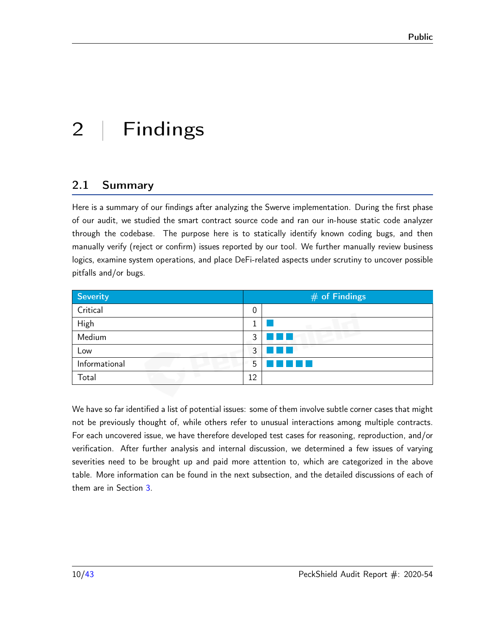# <span id="page-9-0"></span>2 | Findings

# <span id="page-9-1"></span>2.1 Summary

Here is a summary of our findings after analyzing the Swerve implementation. During the first phase of our audit, we studied the smart contract source code and ran our in-house static code analyzer through the codebase. The purpose here is to statically identify known coding bugs, and then manually verify (reject or confirm) issues reported by our tool. We further manually review business logics, examine system operations, and place DeFi-related aspects under scrutiny to uncover possible pitfalls and/or bugs.

| Severity      | $#$ of Findings |  |  |
|---------------|-----------------|--|--|
| Critical      | 0               |  |  |
| High          |                 |  |  |
| Medium        | 3               |  |  |
| Low           | 3               |  |  |
| Informational | 5               |  |  |
| Total         | 12              |  |  |

We have so far identified a list of potential issues: some of them involve subtle corner cases that might not be previously thought of, while others refer to unusual interactions among multiple contracts. For each uncovered issue, we have therefore developed test cases for reasoning, reproduction, and/or verification. After further analysis and internal discussion, we determined a few issues of varying severities need to be brought up and paid more attention to, which are categorized in the above table. More information can be found in the next subsection, and the detailed discussions of each of them are in Section [3.](#page-11-0)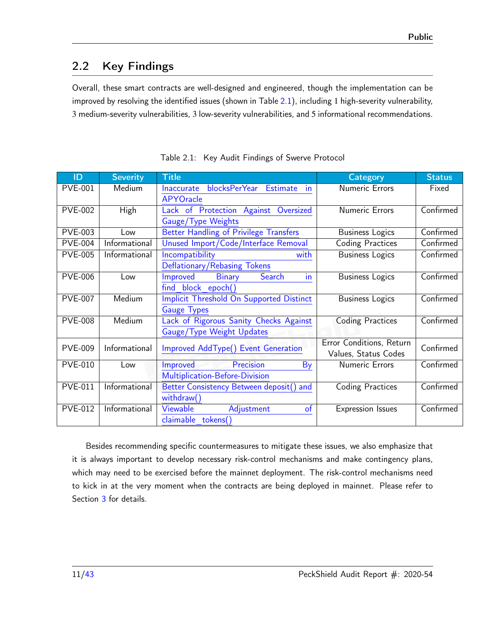# <span id="page-10-0"></span>2.2 Key Findings

Overall, these smart contracts are well-designed and engineered, though the implementation can be improved by resolving the identified issues (shown in Table  $2.1$ ), including 1 high-severity vulnerability, 3 medium-severity vulnerabilities, 3 low-severity vulnerabilities, and 5 informational recommendations.

<span id="page-10-1"></span>

| ID             | <b>Severity</b> | <b>Title</b>                                         | <b>Category</b>          | <b>Status</b> |
|----------------|-----------------|------------------------------------------------------|--------------------------|---------------|
| <b>PVE-001</b> | Medium          | blocksPerYear Estimate in<br><b>Inaccurate</b>       | Numeric Errors           | Fixed         |
|                |                 | <b>APYOracle</b>                                     |                          |               |
| <b>PVE-002</b> | High            | Lack of Protection Against<br>Oversized              | <b>Numeric Errors</b>    | Confirmed     |
|                |                 | Gauge/Type Weights                                   |                          |               |
| <b>PVE-003</b> | Low             | <b>Better Handling of Privilege Transfers</b>        | <b>Business Logics</b>   | Confirmed     |
| <b>PVE-004</b> | Informational   | Unused Import/Code/Interface Removal                 | <b>Coding Practices</b>  | Confirmed     |
| <b>PVE-005</b> | Informational   | Incompatibility<br>with                              | <b>Business Logics</b>   | Confirmed     |
|                |                 | Deflationary/Rebasing Tokens                         |                          |               |
| <b>PVE-006</b> | Low             | Improved<br><b>Binary</b><br>Search<br>$\mathsf{In}$ | <b>Business Logics</b>   | Confirmed     |
|                |                 | find block epoch()                                   |                          |               |
| <b>PVE-007</b> | Medium          | <b>Implicit Threshold On Supported Distinct</b>      | <b>Business Logics</b>   | Confirmed     |
|                |                 | <b>Gauge Types</b>                                   |                          |               |
| <b>PVE-008</b> | Medium          | Lack of Rigorous Sanity Checks Against               | <b>Coding Practices</b>  | Confirmed     |
|                |                 | Gauge/Type Weight Updates                            |                          |               |
| <b>PVE-009</b> | Informational   | Improved AddType() Event Generation                  | Error Conditions, Return | Confirmed     |
|                |                 |                                                      | Values, Status Codes     |               |
| <b>PVE-010</b> | Low             | Precision<br>Improved<br>By                          | <b>Numeric Errors</b>    | Confirmed     |
|                |                 | Multiplication-Before-Division                       |                          |               |
| <b>PVE-011</b> | Informational   | Better Consistency Between deposit() and             | <b>Coding Practices</b>  | Confirmed     |
|                |                 | withdraw()                                           |                          |               |
| <b>PVE-012</b> | Informational   | Viewable<br>$\circ$ f<br>Adjustment                  | <b>Expression Issues</b> | Confirmed     |
|                |                 | claimable tokens()                                   |                          |               |

|  | Table 2.1: Key Audit Findings of Swerve Protocol |
|--|--------------------------------------------------|
|--|--------------------------------------------------|

Besides recommending specific countermeasures to mitigate these issues, we also emphasize that it is always important to develop necessary risk-control mechanisms and make contingency plans, which may need to be exercised before the mainnet deployment. The risk-control mechanisms need to kick in at the very moment when the contracts are being deployed in mainnet. Please refer to Section [3](#page-11-0) for details.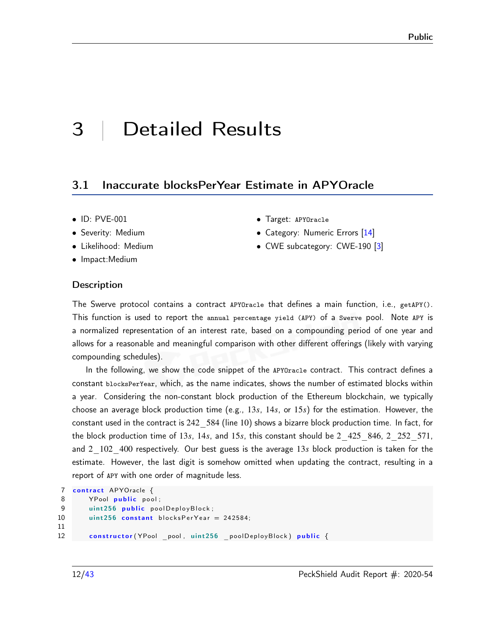# <span id="page-11-0"></span>3 | Detailed Results

#### <span id="page-11-1"></span>3.1 Inaccurate blocksPerYear Estimate in APYOracle

- ID: PVE-001
- Severity: Medium
- Likelihood: Medium
- Impact:Medium

#### • Category: Numeric Errors [\[14\]](#page-41-3)

• Target: APYOracle

• CWE subcategory: CWE-190 [\[3\]](#page-40-1)

#### **Description**

The Swerve protocol contains a contract APYOracle that defines a main function, i.e., getAPY(). This function is used to report the annual percentage yield (APY) of a Swerve pool. Note APY is a normalized representation of an interest rate, based on a compounding period of one year and allows for a reasonable and meaningful comparison with other different offerings (likely with varying compounding schedules).

In the following, we show the code snippet of the APYOracle contract. This contract defines a constant blocksPerYear, which, as the name indicates, shows the number of estimated blocks within a year. Considering the non-constant block production of the Ethereum blockchain, we typically choose an average block production time (e.g., 13*𝑠*, 14*𝑠*, or 15*𝑠*) for the estimation. However, the constant used in the contract is 242\_584 (line 10) shows a bizarre block production time. In fact, for the block production time of 13*s*, 14*s*, and 15*s*, this constant should be 2 425 846, 2 252 571, and 2<sup>102</sup>400 respectively. Our best guess is the average 13*s* block production is taken for the estimate. However, the last digit is somehow omitted when updating the contract, resulting in a report of APY with one order of magnitude less.

```
7 contract APYOracle {
8 YPool public pool;
9 uint 256 public pool Deploy Block;
10 uint 256 constant blocks Per Year = 242584;
11
12 constructor (YPool pool, uint 256 poolDeployBlock) public {
```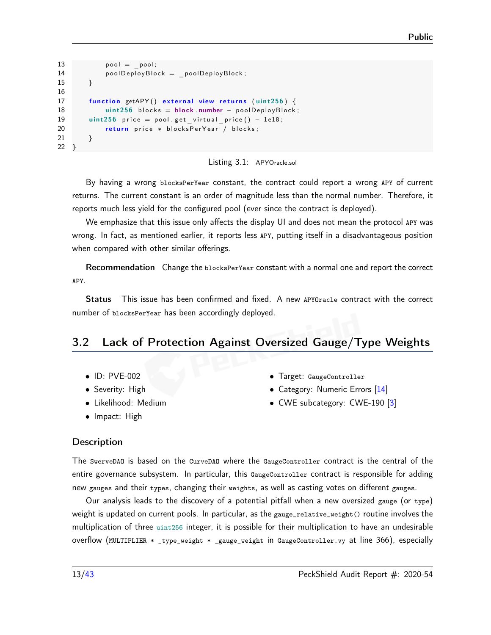```
13 pool = pool;
14 poolDeployBlock = poolDeployBlock;
15 }
16
17 function getAPY () external view returns (uint256) {
18 uint 256 blocks = block number - pool Deploy Block;
19 uint 256 price = pool.get virtual price () - 1e18;
20 return price * blocksPerYear / blocks;
21 }
22 }
```


By having a wrong blocksPerYear constant, the contract could report a wrong APY of current returns. The current constant is an order of magnitude less than the normal number. Therefore, it reports much less yield for the configured pool (ever since the contract is deployed).

We emphasize that this issue only affects the display UI and does not mean the protocol APY was wrong. In fact, as mentioned earlier, it reports less APY, putting itself in a disadvantageous position when compared with other similar offerings.

Recommendation Change the blocksPerYear constant with a normal one and report the correct APY.

Status This issue has been confirmed and fixed. A new APYOracle contract with the correct number of blocksPerYear has been accordingly deployed.

# <span id="page-12-0"></span>3.2 Lack of Protection Against Oversized Gauge/Type Weights

- ID: PVE-002
- Severity: High
- Likelihood: Medium
- Impact: High
- Target: GaugeController
- Category: Numeric Errors [\[14\]](#page-41-3)
- CWE subcategory: CWE-190 [\[3\]](#page-40-1)

#### **Description**

The SwerveDAO is based on the CurveDAO where the GaugeController contract is the central of the entire governance subsystem. In particular, this GaugeController contract is responsible for adding new gauges and their types, changing their weights, as well as casting votes on different gauges.

Our analysis leads to the discovery of a potential pitfall when a new oversized gauge (or type) weight is updated on current pools. In particular, as the gauge\_relative\_weight() routine involves the multiplication of three uint256 integer, it is possible for their multiplication to have an undesirable overflow (MULTIPLIER \* \_type\_weight \* \_gauge\_weight in GaugeController.vy at line 366), especially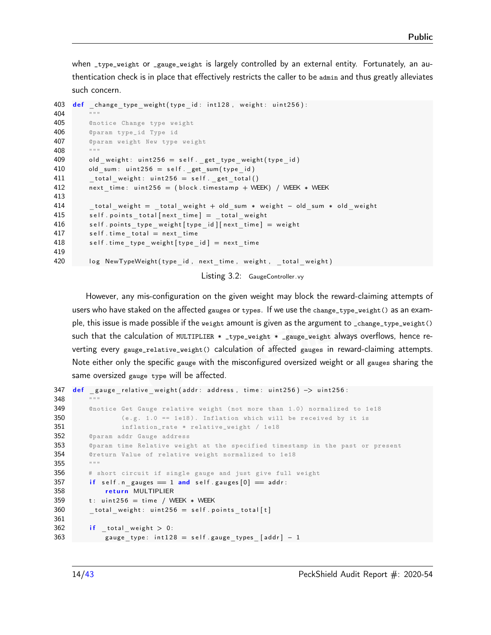when \_type\_weight or \_gauge\_weight is largely controlled by an external entity. Fortunately, an authentication check is in place that effectively restricts the caller to be admin and thus greatly alleviates such concern.

```
403 def _change_type_weight (type_id: int128, weight: uint256):
404 """
405 @notice Change type weight
406 @param type_id Type id
407 @param weight New type weight
408 """
409 old weight: uint 256 = \text{self}. get type weight ( type id )
410 old sum: u int 256 = \text{self}. get sum ( ty pe id )
411 total weight: uint 256 = \text{self}. get total()
412 next time: u int 256 = (block . time stamp + WEEK) / WEEK * WEEK
413
414 total weight = total weight + old sum * weight - old sum * old weight
415 self points total [next time] = total weight
416 self.points_type_weight [type_id] [next_time] = weight
417 self.time_total = next time
418 self. time type weight [type_id] = next time
419
420 log NewTypeWeight ( type id, next time, weight, total weight )
```
Listing 3.2: GaugeController.vy

However, any mis-configuration on the given weight may block the reward-claiming attempts of users who have staked on the affected gauges or types. If we use the change\_type\_weight() as an example, this issue is made possible if the weight amount is given as the argument to \_change\_type\_weight() such that the calculation of MULTIPLIER  $*$  \_type\_weight  $*$  \_gauge\_weight always overflows, hence reverting every gauge\_relative\_weight() calculation of affected gauges in reward-claiming attempts. Note either only the specific gauge with the misconfigured oversized weight or all gauges sharing the same oversized gauge type will be affected.

```
347 def gauge relative weight (addr: address, time: uint 256) \rightarrow uint 256:
348
349 ©notice Get Gauge relative weight (not more than 1.0) normalized to 1e18
350 (e.g. 1.0 = 1e18). Inflation which will be received by it is
351 inflation_rate * relative_weight / 1e18
352 @param addr Gauge address
353 @param time Relative weight at the specified timestamp in the past or present
354 @return Value of relative weight normalized to 1e18
355 """
356 # short circuit if single gauge and just give full weight
357 if self n gauges = 1 and self gauges [0] = addr:
358 return MULTIPLIER
359 t: uint 256 = time / WEEK * WEEK
360 total weight: uint 256 = \text{self} points total [t]
361
362 if total weight > 0:
363 gauge type: in t 128 = \text{self} . gauge types [add r] - 1
```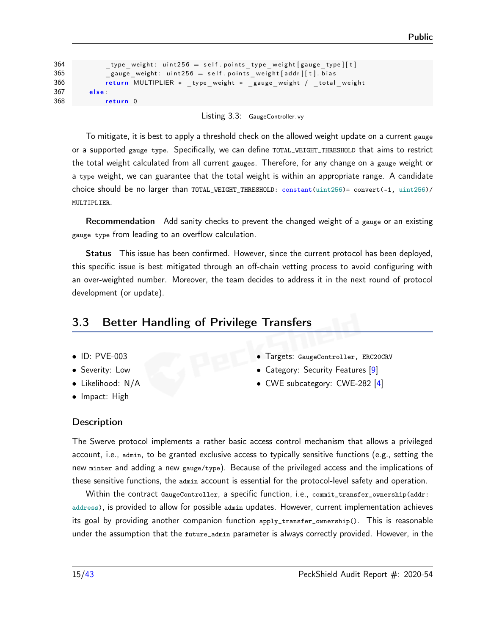```
364 type weight: u int 256 = \text{self} . points type weight [gauge type ] [ t ]
365 gauge weight: u int 256 = \text{self} . points weight [ add r ] [ t ] . bi a s
366 return MULTIPLIER ∗ _type_weight ∗ _gauge_weight / _total_weight
367 else :
368 return 0
```
Listing 3.3: GaugeController.vy

To mitigate, it is best to apply a threshold check on the allowed weight update on a current gauge or a supported gauge type. Specifically, we can define TOTAL\_WEIGHT\_THRESHOLD that aims to restrict the total weight calculated from all current gauges. Therefore, for any change on a gauge weight or a type weight, we can guarantee that the total weight is within an appropriate range. A candidate choice should be no larger than TOTAL\_WEIGHT\_THRESHOLD: constant(uint256)= convert(-1, uint256)/ MULTIPLIER.

Recommendation Add sanity checks to prevent the changed weight of a gauge or an existing gauge type from leading to an overflow calculation.

Status This issue has been confirmed. However, since the current protocol has been deployed, this specific issue is best mitigated through an off-chain vetting process to avoid configuring with an over-weighted number. Moreover, the team decides to address it in the next round of protocol development (or update).

# <span id="page-14-0"></span>3.3 Better Handling of Privilege Transfers

- ID: PVE-003
- Severity: Low
- Likelihood: N/A
- Impact: High
- Targets: GaugeController, ERC20CRV
- Category: Security Features [\[9\]](#page-40-2)
- CWE subcategory: CWE-282 [\[4\]](#page-40-3)

#### **Description**

The Swerve protocol implements a rather basic access control mechanism that allows a privileged account, i.e., admin, to be granted exclusive access to typically sensitive functions (e.g., setting the new minter and adding a new gauge/type). Because of the privileged access and the implications of these sensitive functions, the admin account is essential for the protocol-level safety and operation.

Within the contract GaugeController, a specific function, i.e., commit\_transfer\_ownership(addr: address), is provided to allow for possible admin updates. However, current implementation achieves its goal by providing another companion function apply\_transfer\_ownership(). This is reasonable under the assumption that the future\_admin parameter is always correctly provided. However, in the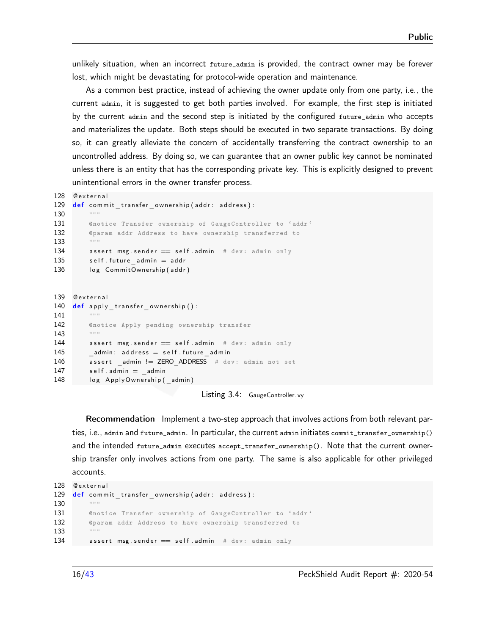unlikely situation, when an incorrect future\_admin is provided, the contract owner may be forever lost, which might be devastating for protocol-wide operation and maintenance.

As a common best practice, instead of achieving the owner update only from one party, i.e., the current admin, it is suggested to get both parties involved. For example, the first step is initiated by the current admin and the second step is initiated by the configured future\_admin who accepts and materializes the update. Both steps should be executed in two separate transactions. By doing so, it can greatly alleviate the concern of accidentally transferring the contract ownership to an uncontrolled address. By doing so, we can guarantee that an owner public key cannot be nominated unless there is an entity that has the corresponding private key. This is explicitly designed to prevent unintentional errors in the owner transfer process.

```
128 Qexternal
129 def commit transfer ownership (addr: address):
130 """
131 Cenotice Transfer ownership of GaugeController to 'addr'
132 C @param addr Address to have ownership transferred to
133 """
134 assert msg. sender == self. admin # dev: admin only
135 self . future admin = addr
136 log CommitOwnership (addr)
```

```
139 Cexternal
140 def apply transfer ownership ():
141 """
142 @notice Apply pending ownership transfer
143 """
144 assert msg.sender = self.admin # dev: admin only
145 admin: address = self . future admin
146 assert admin != ZERO ADDRESS # dev: admin not set
147 self.admin = admin
148 log ApplyOwnership (admin)
```
Listing 3.4: GaugeController.vy

Recommendation Implement a two-step approach that involves actions from both relevant parties, i.e., admin and future\_admin. In particular, the current admin initiates commit\_transfer\_ownership() and the intended future\_admin executes accept\_transfer\_ownership(). Note that the current ownership transfer only involves actions from one party. The same is also applicable for other privileged accounts.

```
128 Oexternal
129 def commit transfer ownership (addr: address):
130 """
131 @notice Transfer ownership of GaugeController to 'addr '
132 6 @param addr Address to have ownership transferred to
133 """
134 assert msg. sender == self. admin # dev: admin only
```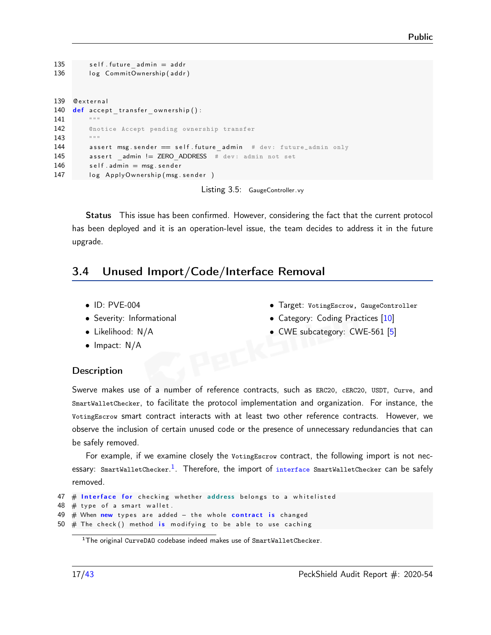```
135 self . future admin = addr
136 log CommitOwnership (addr)
139 @ external
140 def accept transfer ownership ():
141142 @notice Accept pending ownership transfer
143 """
144 assert msg. sender == self. future admin # dev: future_admin only
145 assert admin != ZERO ADDRESS # dev: admin not set
146 self . admin = msg . sender
147 log ApplyOwnership (msg. sender)
```
Listing 3.5: GaugeController.vy

Status This issue has been confirmed. However, considering the fact that the current protocol has been deployed and it is an operation-level issue, the team decides to address it in the future upgrade.

# <span id="page-16-0"></span>3.4 Unused Import/Code/Interface Removal

- ID: PVE-004
- Severity: Informational
- Likelihood: N/A
- Impact: N/A
- Target: VotingEscrow, GaugeController • Category: Coding Practices [\[10\]](#page-41-4)
- CWE subcategory: CWE-561 [\[5\]](#page-40-4)

#### **Description**

Swerve makes use of a number of reference contracts, such as ERC20, cERC20, USDT, Curve, and SmartWalletChecker, to facilitate the protocol implementation and organization. For instance, the VotingEscrow smart contract interacts with at least two other reference contracts. However, we observe the inclusion of certain unused code or the presence of unnecessary redundancies that can be safely removed.

For example, if we examine closely the VotingEscrow contract, the following import is not nec-essary: SmartWalletChecker.<sup>[1](#page-16-1)</sup>. Therefore, the import of interface SmartWalletChecker can be safely removed.

```
47 # Interface for checking whether address belongs to a whitelisted
48 \# type of a smart wallet.
49 # When new types are added - the whole contract is changed
50 \# The check () method is modifying to be able to use caching
```
<span id="page-16-1"></span><sup>1</sup>The original CurveDAO codebase indeed makes use of SmartWalletChecker.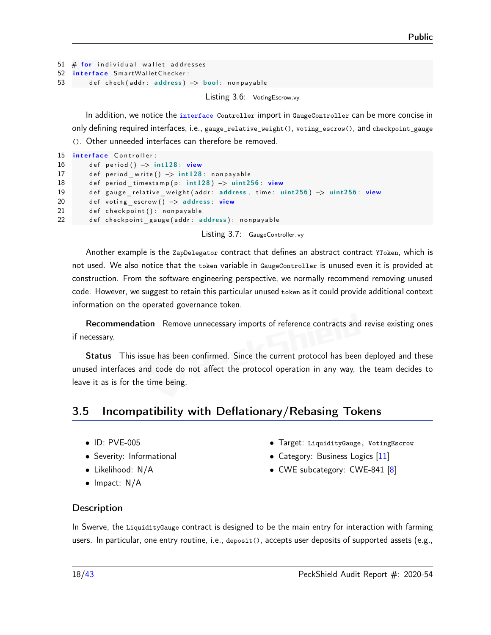```
51 # for individual wallet addresses
52 interface SmartWalletChecker:
53 def check (addr: address) -> bool: nonpayable
```
Listing 3.6: VotingEscrow.vy

In addition, we notice the interface Controller import in GaugeController can be more concise in only defining required interfaces, i.e., gauge\_relative\_weight(), voting\_escrow(), and checkpoint\_gauge (). Other unneeded interfaces can therefore be removed.

```
15 interface Controller:
16 def period () \rightarrow int 128 view
17 def period write () -> int128: nonpayable
18 def period timestamp (p: int 128) -> uint 256: view
19 def gauge relative weight (addr: address, time: uint256) -> uint256: view
20 def voting_escrow() -> address: view
21 def checkpoint (): nonpayable
22 def checkpoint gauge (addr: address): nonpayable
```
Listing 3.7: GaugeController.vy

Another example is the ZapDelegator contract that defines an abstract contract YToken, which is not used. We also notice that the token variable in GaugeController is unused even it is provided at construction. From the software engineering perspective, we normally recommend removing unused code. However, we suggest to retain this particular unused token as it could provide additional context information on the operated governance token.

Recommendation Remove unnecessary imports of reference contracts and revise existing ones if necessary.

Status This issue has been confirmed. Since the current protocol has been deployed and these unused interfaces and code do not affect the protocol operation in any way, the team decides to leave it as is for the time being.

# <span id="page-17-0"></span>3.5 Incompatibility with Deflationary/Rebasing Tokens

- ID: PVE-005
- Severity: Informational
- Likelihood: N/A
- Impact: N/A
- Target: LiquidityGauge, VotingEscrow
- Category: Business Logics [\[11\]](#page-41-5)
- CWE subcategory: CWE-841 [\[8\]](#page-40-5)

#### **Description**

In Swerve, the LiquidityGauge contract is designed to be the main entry for interaction with farming users. In particular, one entry routine, i.e., deposit(), accepts user deposits of supported assets (e.g.,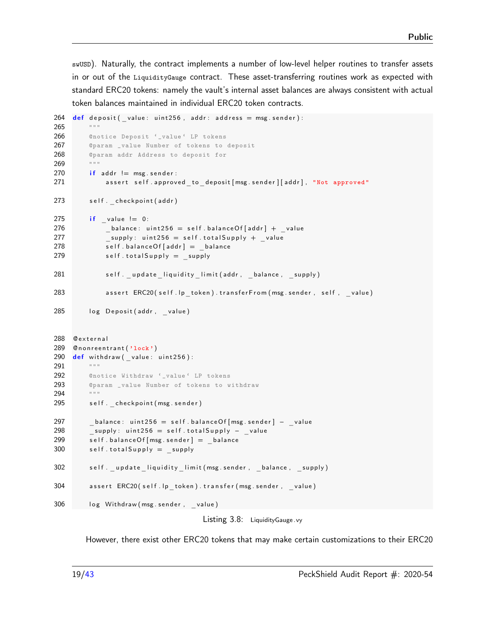swUSD). Naturally, the contract implements a number of low-level helper routines to transfer assets in or out of the LiquidityGauge contract. These asset-transferring routines work as expected with standard ERC20 tokens: namely the vault's internal asset balances are always consistent with actual token balances maintained in individual ERC20 token contracts.

```
264 def deposit (value: uint 256, addr: address = msg. sender):
265 """
266 @notice Deposit '_value ' LP tokens
267 @param _value Number of tokens to deposit
268 @param addr Address to deposit for
269 ""
270 if addr != msg. sender:
271 assert self approved to deposit [msg sender ] [addr], "Not approved"
273 self. checkpoint (addr)
275 if value != 0:
276 balance: uint256 = \text{self}. balance Of [addr] + value
277 supply: uint 256 = \text{self} \cdot \text{total} Supply + _value
278 self balance Of [addr] = _balance
279 self.total Supply = supply
281 self . update liquidity limit (addr, balance, supply)
283 assert ERC20 (self.lp_token).transferFrom (msg.sender, self, value )
285 log Deposit (addr, value)
288 Cexternal
289 Cnonreentrant ('lock')
290 def withdraw (value: uint 256):
291 """
292 @notice Withdraw '_value ' LP tokens
293 @param _value Number of tokens to withdraw
294 """
295 self. checkpoint (msg. sender)
297 balance: uint 256 = self.balance Of [msg.sender] - _value
298 supply: uint 256 = self.total Supply - value
299 self balance Of [msg . sender] = balance
300 self.total Supply = _supply
302 self. update liquidity limit (msg. sender, balance, supply)
304 assert ERC20 (self . lp token) . transfer (msg . sender , _value )
306 log Withdraw (msg. sender, value)
                                   Listing 3.8: Liquidity Gauge .vy
```
However, there exist other ERC20 tokens that may make certain customizations to their ERC20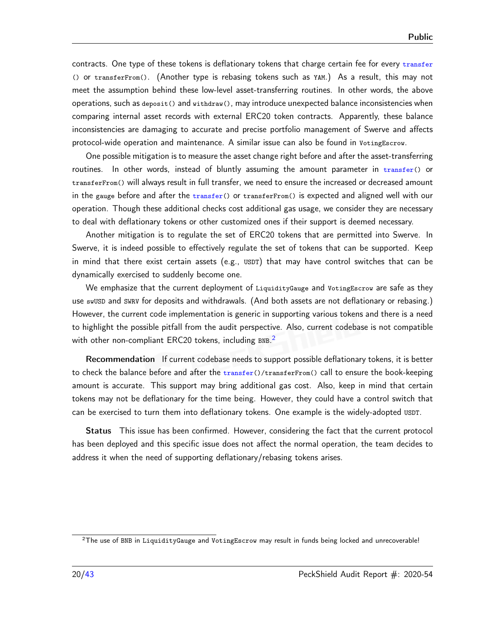contracts. One type of these tokens is deflationary tokens that charge certain fee for every transfer () or transferFrom(). (Another type is rebasing tokens such as YAM.) As a result, this may not meet the assumption behind these low-level asset-transferring routines. In other words, the above operations, such as deposit() and withdraw(), may introduce unexpected balance inconsistencies when comparing internal asset records with external ERC20 token contracts. Apparently, these balance inconsistencies are damaging to accurate and precise portfolio management of Swerve and affects protocol-wide operation and maintenance. A similar issue can also be found in VotingEscrow.

One possible mitigation is to measure the asset change right before and after the asset-transferring routines. In other words, instead of bluntly assuming the amount parameter in transfer() or transferFrom() will always result in full transfer, we need to ensure the increased or decreased amount in the gauge before and after the  $transfer()$  or transfer $From()$  is expected and aligned well with our operation. Though these additional checks cost additional gas usage, we consider they are necessary to deal with deflationary tokens or other customized ones if their support is deemed necessary.

Another mitigation is to regulate the set of ERC20 tokens that are permitted into Swerve. In Swerve, it is indeed possible to effectively regulate the set of tokens that can be supported. Keep in mind that there exist certain assets (e.g., USDT) that may have control switches that can be dynamically exercised to suddenly become one.

We emphasize that the current deployment of LiquidityGauge and VotingEscrow are safe as they use swUSD and SWRV for deposits and withdrawals. (And both assets are not deflationary or rebasing.) However, the current code implementation is generic in supporting various tokens and there is a need to highlight the possible pitfall from the audit perspective. Also, current codebase is not compatible with other non-compliant ERC[2](#page-19-0)0 tokens, including  $BNB.^2$ 

Recommendation If current codebase needs to support possible deflationary tokens, it is better to check the balance before and after the  $transfer(\)/transferFrom()$  call to ensure the book-keeping amount is accurate. This support may bring additional gas cost. Also, keep in mind that certain tokens may not be deflationary for the time being. However, they could have a control switch that can be exercised to turn them into deflationary tokens. One example is the widely-adopted USDT.

Status This issue has been confirmed. However, considering the fact that the current protocol has been deployed and this specific issue does not affect the normal operation, the team decides to address it when the need of supporting deflationary/rebasing tokens arises.

<span id="page-19-0"></span><sup>&</sup>lt;sup>2</sup>The use of BNB in LiquidityGauge and VotingEscrow may result in funds being locked and unrecoverable!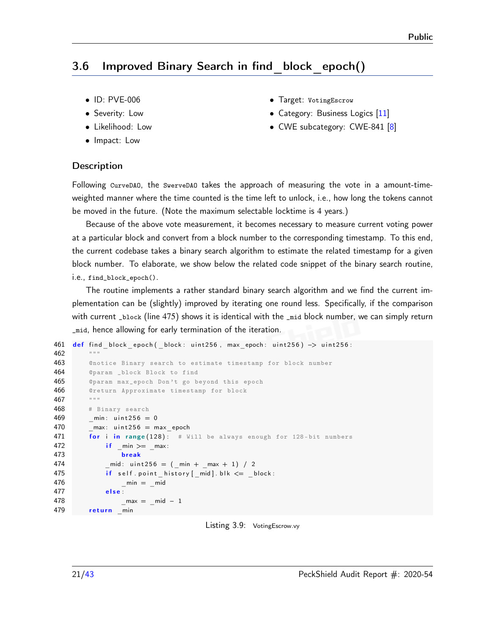# <span id="page-20-0"></span>3.6 Improved Binary Search in find\_block\_epoch()

- ID: PVE-006
- Severity: Low
- Likelihood: Low
- Impact: Low
- Target: VotingEscrow
- Category: Business Logics [\[11\]](#page-41-5)
- CWE subcategory: CWE-841 [\[8\]](#page-40-5)

#### **Description**

Following CurveDAO, the SwerveDAO takes the approach of measuring the vote in a amount-timeweighted manner where the time counted is the time left to unlock, i.e., how long the tokens cannot be moved in the future. (Note the maximum selectable locktime is 4 years.)

Because of the above vote measurement, it becomes necessary to measure current voting power at a particular block and convert from a block number to the corresponding timestamp. To this end, the current codebase takes a binary search algorithm to estimate the related timestamp for a given block number. To elaborate, we show below the related code snippet of the binary search routine, i.e., find\_block\_epoch().

The routine implements a rather standard binary search algorithm and we find the current implementation can be (slightly) improved by iterating one round less. Specifically, if the comparison with current \_block (line 475) shows it is identical with the \_mid block number, we can simply return \_mid, hence allowing for early termination of the iteration.

```
461 def find block epoch (block: uint 256, max epoch: uint 256) \rightarrow uint 256:
462
463 @notice Binary search to estimate timestamp for block number
464 @param _block Block to find
465 @param max_epoch Don 't go beyond this epoch
466 @return Approximate timestamp for block
467 """
468 # Binary search
469 min: u in t 256 = 0470 max: u int 256 = \text{max} epoch
471 for i in range (128): # Will be always enough for 128-bit numbers
472 if min \geq m max:
473 b reak
474 mid: u in t 256 = ( min + max + 1 / 2475 if self.point history [mid].blk <= block:
476 min = mid477 else
478 max = mid - 1479 return min
```
Listing 3.9: VotingEscrow.vy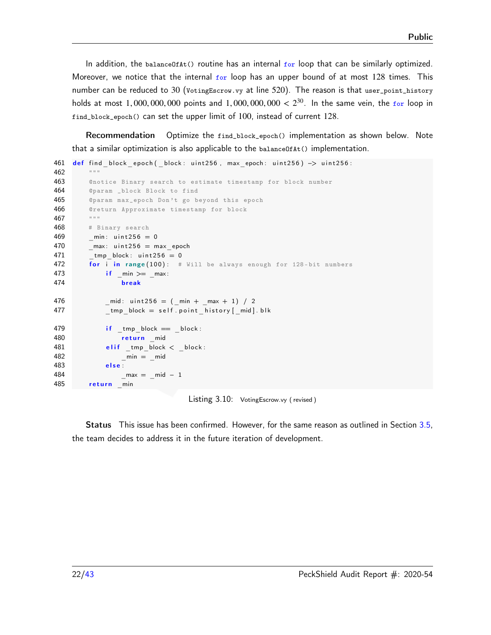In addition, the balance OfAt() routine has an internal for loop that can be similarly optimized. Moreover, we notice that the internal  $f \circ r$  loop has an upper bound of at most 128 times. This number can be reduced to 30 (VotingEscrow.vy at line 520). The reason is that user\_point\_history holds at most 1*,* 000*,* 000*,* 000 points and 1*,* 000*,* 000*,* 000 *<* 2 <sup>30</sup>. In the same vein, the for loop in find\_block\_epoch() can set the upper limit of 100, instead of current 128.

Recommendation Optimize the find\_block\_epoch() implementation as shown below. Note that a similar optimization is also applicable to the  $b$ alance $O(fAt)$  implementation.

```
461 def find block epoch ( _block : uint 256, max epoch : uint 256) -> uint 256 :
462 """
463 @notice Binary search to estimate timestamp for block number
464 @param _block Block to find
465 @param max_epoch Don 't go beyond this epoch
466 Creturn Approximate timestamp for block
467 """
468 # Binary search
469 min: u in t 256 = 0470 _max: uint256 = maxepoch
471 tmp block: unit 256 = 0472 for i in range (100): # Will be always enough for 128-bit numbers
473 if \_min \geq 2 max:
474 b reak
476 \text{mid}: u int 256 = (\text{min} + \text{max} + 1) / 2
477 tmp block = self . point history [ mid ] . blk
479 if \tmtext{imp}block == \tmtext{block}:
480 return mid
481 elif _tmp_block < _block :
482 min = mid483 else
484 and <u>max = _mid − 1</u>
485 return min
```
Listing 3.10: VotingEscrow.vy ( revised )

Status This issue has been confirmed. However, for the same reason as outlined in Section [3.5,](#page-17-0) the team decides to address it in the future iteration of development.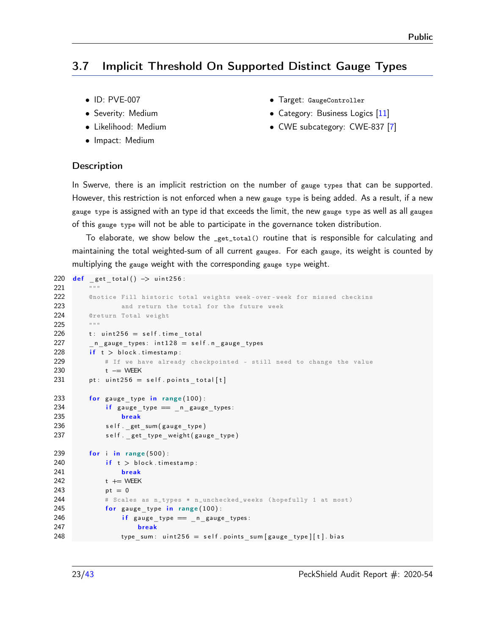# <span id="page-22-0"></span>3.7 Implicit Threshold On Supported Distinct Gauge Types

- ID: PVE-007
- Severity: Medium
- Likelihood: Medium
- Impact: Medium
- Target: GaugeController
- Category: Business Logics [\[11\]](#page-41-5)
- CWE subcategory: CWE-837 [\[7\]](#page-40-6)

#### **Description**

In Swerve, there is an implicit restriction on the number of gauge types that can be supported. However, this restriction is not enforced when a new gauge type is being added. As a result, if a new gauge type is assigned with an type id that exceeds the limit, the new gauge type as well as all gauges of this gauge type will not be able to participate in the governance token distribution.

To elaborate, we show below the \_get\_total() routine that is responsible for calculating and maintaining the total weighted-sum of all current gauges. For each gauge, its weight is counted by multiplying the gauge weight with the corresponding gauge type weight.

```
220 def get total () \rightarrow uint 256 :
221222 @notice Fill historic total weights week -over - week for missed checkins
223 b and return the total for the future week
224 @return Total weight
225 """
226 t: uint 256 = self . time total
227 n gauge_types: in t 128 = \text{self} \cdot n gauge_types
228 if t > block timestamp:
229 # If we have already checkpointed - still need to change the value
230 t −= WEEK
231 pt: uint 256 = \text{self}. points total [t]
233 for gauge type in range ( 100 ) :
234 if gauge type = n gauge types:
235 break
236 self. get_sum (gauge_type)
237 self. get type weight ( gauge type )
239 for i in range (500):
240 if t > block . timestamp:
241 break
242 t + WEEK
243 pt = 0244 # Scales as n_types * n_unchecked_weeks (hopefully 1 at most)
245 for gauge type in range (100):
246 if gauge type \equiv n gauge types:
247 break
248 type_sum: uint256 = self.points_sum[gauge_type][t].bias
```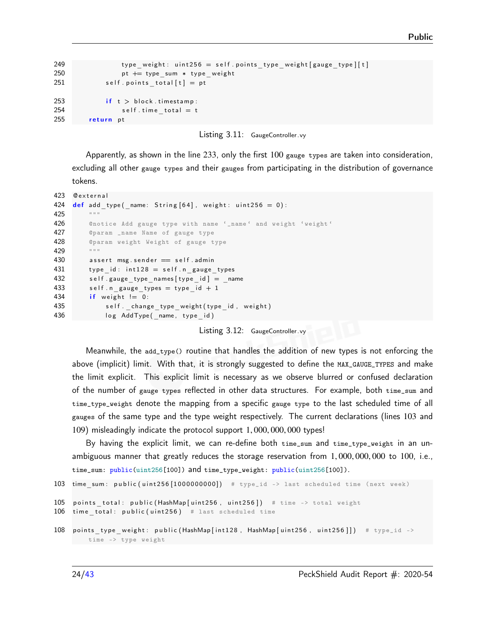```
249 type weight: uint 256 = self . points type weight [ gauge type ] [t]250 pt += type sum * type weight
251 self. points total [t] = pt253 if t > block timestamp:
254 self.time total = t
255 return pt
```


Apparently, as shown in the line 233, only the first 100 gauge types are taken into consideration, excluding all other gauge types and their gauges from participating in the distribution of governance tokens.

```
423 @external
424 def add type (name: String [64], weight: uint 256 = 0):
425 """
426 6 ©notice Add gauge type with name '_name' and weight 'weight'
427 @param _name Name of gauge type
428 @param weight Weight of gauge type
429 """
430 assert msg. sender = self. admin
431 type id: int 128 = self.n gauge types
432 self .gauge type names [ type id ] = name
433 self .n gauge types = type id + 1434 if weight != 0:
435 self. change type weight ( type id, weight )
436 log AddType (name, type id )
```
Listing 3.12: GaugeController.vy

Meanwhile, the add\_type() routine that handles the addition of new types is not enforcing the above (implicit) limit. With that, it is strongly suggested to define the MAX\_GAUGE\_TYPES and make the limit explicit. This explicit limit is necessary as we observe blurred or confused declaration of the number of gauge types reflected in other data structures. For example, both time\_sum and time\_type\_weight denote the mapping from a specific gauge type to the last scheduled time of all gauges of the same type and the type weight respectively. The current declarations (lines 103 and 109) misleadingly indicate the protocol support 1*,* 000*,* 000*,* 000 types!

By having the explicit limit, we can re-define both time\_sum and time\_type\_weight in an unambiguous manner that greatly reduces the storage reservation from 1*,* 000*,* 000*,* 000 to 100, i.e., time\_sum: public(uint256[100]) and time\_type\_weight: public(uint256[100]).

```
103 time sum: public ( uint 256 [ 1000000000] # type_id -> last scheduled time (next week)
```

```
105 points total: public (HashMap [uint256, uint256]) # time -> total weight
106 time total: public (uint 256) # last scheduled time
```

```
108 points type weight: public (HashMap [int 128, HashMap [ uint 256, uint 256 ]]) # type_id ->
```

```
time -> type weight
```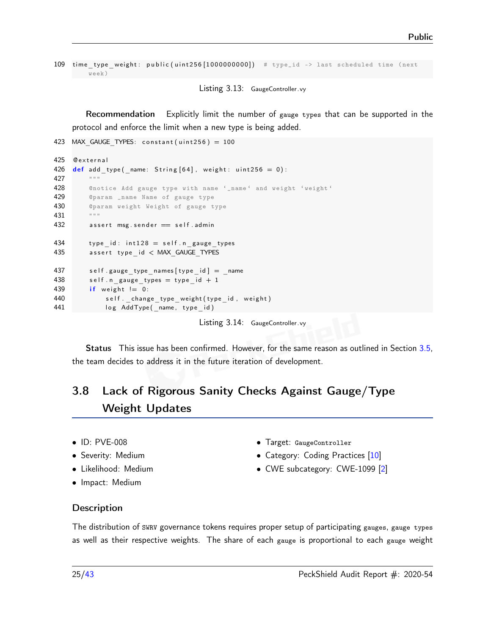```
109 time type weight: public ( uint 256 [ 1000000000] ) # type_id -> last scheduled time ( next
    week )
```
Listing 3.13: GaugeController.vy

Recommendation Explicitly limit the number of gauge types that can be supported in the protocol and enforce the limit when a new type is being added.

```
423 MAX GAUGE TYPES: constant (uint256) = 100
425 @ external
426 \det add_type (_name: String [64], weight: uint256 = 0):
427
428 C @notice Add gauge type with name '_name' and weight 'weight'
429 @param _name Name of gauge type
430 @param weight Weight of gauge type
431 """
432 assert msg. sender = self. admin
434 type id: int 128 = self.n gauge types
435 assert type id \lt MAX GAUGE TYPES
437 self .gauge type names [ type id ] = name
438 self .n gauge types = type id + 1439 if weight != 0:
440 self. _ change_type_weight (type_id, weight)
441 log AddType (_name, type_id)
```
Listing 3.14: GaugeController.vy

Status This issue has been confirmed. However, for the same reason as outlined in Section [3.5,](#page-17-0) the team decides to address it in the future iteration of development.

# <span id="page-24-0"></span>3.8 Lack of Rigorous Sanity Checks Against Gauge/Type Weight Updates

- ID: PVE-008
- Severity: Medium
- Likelihood: Medium
- Impact: Medium
- Target: GaugeController
- Category: Coding Practices [\[10\]](#page-41-4)
- CWE subcategory: CWE-1099 [\[2\]](#page-40-7)

#### **Description**

The distribution of SWRV governance tokens requires proper setup of participating gauges, gauge types as well as their respective weights. The share of each gauge is proportional to each gauge weight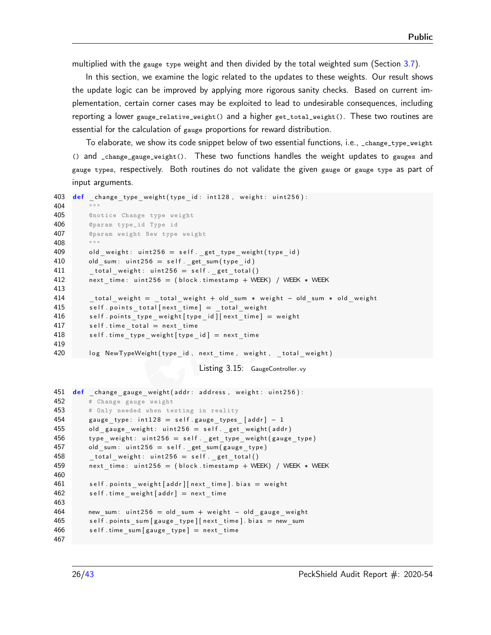multiplied with the gauge type weight and then divided by the total weighted sum (Section [3.7\)](#page-22-0).

In this section, we examine the logic related to the updates to these weights. Our result shows the update logic can be improved by applying more rigorous sanity checks. Based on current implementation, certain corner cases may be exploited to lead to undesirable consequences, including reporting a lower gauge\_relative\_weight() and a higher get\_total\_weight(). These two routines are essential for the calculation of gauge proportions for reward distribution.

To elaborate, we show its code snippet below of two essential functions, i.e., \_change\_type\_weight () and \_change\_gauge\_weight(). These two functions handles the weight updates to gauges and gauge types, respectively. Both routines do not validate the given gauge or gauge type as part of input arguments.

```
403 def change type weight ( type id : int 1 28 , w eight : u in t 2 5 6 ) :
404 """
405 @notice Change type weight
406 @param type_id Type id
407 @param weight New type weight
408 """
409 old weight: uint 256 = \text{self}. get type weight ( type id )
410 old sum: u in t 256 = \text{self}. get sum ( type id )
411 total weight: uint 256 = \text{self}. get total ()
412 next time: u int 256 = ( b lock . timestamp + WEEK) / WEEK * WEEK
413
414 total weight = total weight + old sum * weight - old sum * old weight
415 self.points_total[next_time] = _total_weight
416 self . points _type _weight [type _id ] [ next _time ] = weight
417 self. time total = next time
418 self.time_type_weight [type_id] = next_time
419
420 log NewTypeWeight (type id, next time, weight, total weight)
```
Listing 3.15: GaugeController.vy

```
451 def _change_gauge_weight (addr: address, weight: uint256):
452 # Change gauge weight
453 # Only needed when testing in reality
454 gauge type: int 128 = self gauge types [addr] - 1455 old gauge weight: u int 256 = \text{self}. get weight (addr)
456 type weight: uint 256 = \text{self}. \text{get\_type\_weight} (gauge_type)
457 old sum: u int 256 = \text{self}. get sum (gauge type)
458 total weight: uint 256 = \text{self}. get total ()
459 next time: u int 256 = ( b lock . timestamp + WEEK) / WEEK * WEEK
460
461 self points weight [addr] [next time] bias = weight
462 self.time_weight [addr] = next_time
463
464 new sum: u int 256 = old sum + w eight - old gauge weight
465 self points sum [gauge type] [next time] . bias = new sum
466 self.time sum [ gauge type ] = next time
467
```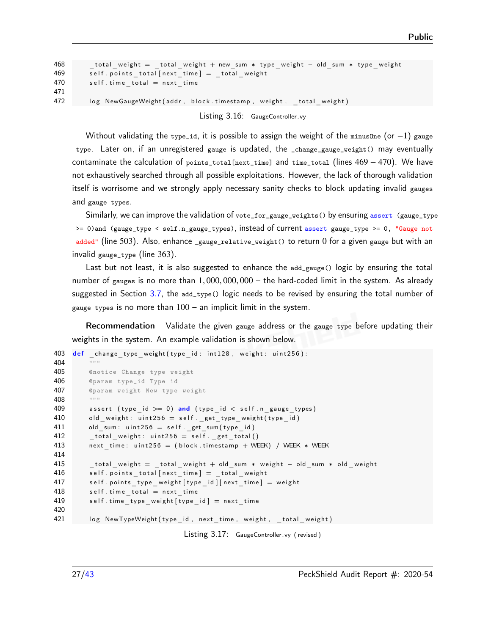```
468 total weight = total weight + new sum * type weight - old sum * type weight
469 self points total [next time] = total weight
470 self time total = next time
471
472 log NewGaugeWeight (addr, block timestamp, weight, total weight)
```
Listing 3.16: GaugeController.vy

Without validating the type\_id, it is possible to assign the weight of the minus0ne (or -1) gauge type. Later on, if an unregistered gauge is updated, the \_change\_gauge\_weight() may eventually contaminate the calculation of points\_total[next\_time] and time\_total (lines 469 − 470). We have not exhaustively searched through all possible exploitations. However, the lack of thorough validation itself is worrisome and we strongly apply necessary sanity checks to block updating invalid gauges and gauge types.

Similarly, we can improve the validation of vote\_for\_gauge\_weights() by ensuring assert (gauge\_type >= 0)and (gauge\_type < self.n\_gauge\_types), instead of current assert gauge\_type >= 0, "Gauge not added" (line 503). Also, enhance \_gauge\_relative\_weight() to return 0 for a given gauge but with an invalid gauge\_type (line 363).

Last but not least, it is also suggested to enhance the add\_gauge() logic by ensuring the total number of gauges is no more than 1*,* 000*,* 000*,* 000 – the hard-coded limit in the system. As already suggested in Section [3.7,](#page-22-0) the  $ad_type(e)$  logic needs to be revised by ensuring the total number of gauge types is no more than  $100 -$  an implicit limit in the system.

Recommendation Validate the given gauge address or the gauge type before updating their weights in the system. An example validation is shown below.

```
403 def change type weight ( type id : int 1 28 , weight : u int 2 5 6 ) :
404 """
405 @notice Change type weight
406 @param type_id Type id
407 @param weight New type weight
408 """
409 assert (type id >= 0) and (type id < self n gauge types)
410 old_weight: uint256 = self._get_type_weight (type_id)
411 old_sum: uint256 = \text{self}. get_sum(type_id)
412 total weight: uint 256 = \text{self}. get total ()
413 next_time: uint 256 = (block.time. timestamp + WEEK) / WEEK * WEEK
414
415 total weight = total weight + old sum * weight - old sum * old weight
416 self points total [next time] = total weight
417 self points type weight [ type id ] [ next time ] = weight
418 self. time total = next time
419 self.time type weight [type_id] = next time
420
421 log NewTypeWeight (type_id, next_time, weight, _total_weight)
```
Listing 3.17: GaugeController.vy (revised)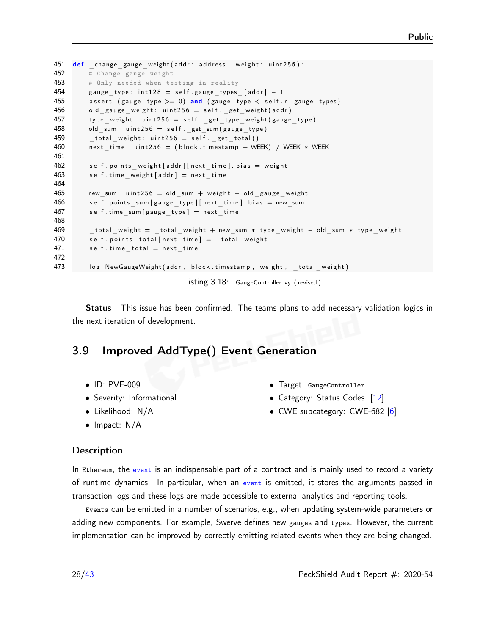```
451 def change gauge weight ( addr : address, weight : uint 256 ) :
452 # Change gauge weight
453 # Only needed when testing in reality
454 gauge type: int 128 = \text{self} gauge types [addr] - 1
455 assert (gauge type >= 0) and (gauge type < self .n gauge types)
456 old_gauge_weight: uint 256 = self._get_weight (addr)
457 type weight: uint 256 = self . _get_type_weight ( gauge_type )
458 old sum: u int 256 = \text{self}. get sum (gauge type)
459 total weight: uint 256 = \text{self}. get total()
460 next time: u int 256 = (block.t. time stamp + WEEK) / WEEK * WEEK
461
462 self.points_weight[addr][next_time].bias = weight
463 self.time weight [addr] = next time
464
465 new_sum: uint256 = old_sum + weight - old_gauge_weight
466 self.points_sum [gauge_type] [next_time].bias = new_sum
467 self.time_sum [gauge_type] = next_time
468
469 total weight = total weight + new sum * type weight - old sum * type weight
470 self points total [next time] = total weight
471 self. time total = next time
472
473 log NewGaugeWeight (addr, block timestamp, weight, total weight)
```
Listing 3.18: GaugeController.vy (revised)

Status This issue has been confirmed. The teams plans to add necessary validation logics in the next iteration of development.

# <span id="page-27-0"></span>3.9 Improved AddType() Event Generation

- ID: PVE-009
- Severity: Informational
- Likelihood: N/A
- Impact: N/A
- Target: GaugeController
- Category: Status Codes [\[12\]](#page-41-6)
- CWE subcategory: CWE-682 [\[6\]](#page-40-8)

#### **Description**

In Ethereum, the event is an indispensable part of a contract and is mainly used to record a variety of runtime dynamics. In particular, when an event is emitted, it stores the arguments passed in transaction logs and these logs are made accessible to external analytics and reporting tools.

Events can be emitted in a number of scenarios, e.g., when updating system-wide parameters or adding new components. For example, Swerve defines new gauges and types. However, the current implementation can be improved by correctly emitting related events when they are being changed.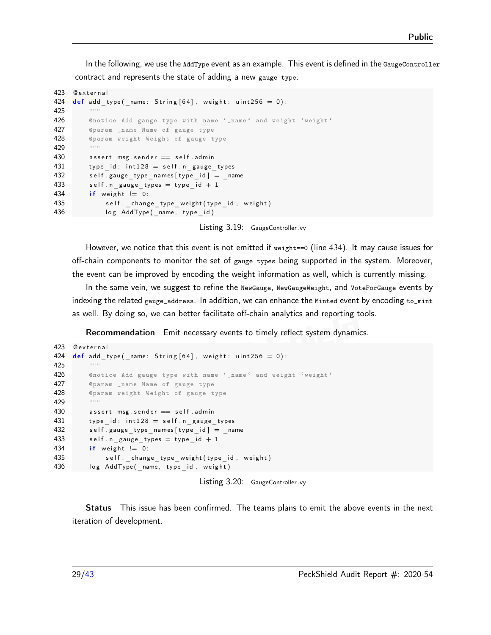In the following, we use the AddType event as an example. This event is defined in the GaugeController contract and represents the state of adding a new gauge type.

```
423 Cexternal
424 def add type (name: String [64], weight: uint 256 = 0):
425
426 6 Cnotice Add gauge type with name '_name' and weight 'weight'
427 @param _name Name of gauge type
428 @param weight Weight of gauge type
429 """
430 assert msg. sender == self. admin
431 type id: int 128 = self \cdot n gauge types
432 self.gauge_type_names [type_id] = _name
433 self.n_gauge_types = type_id + 1
434 if weight != 0:
435 self._change_type_weight (type_id, weight)
436 log AddType (name, type id )
```
Listing 3.19: GaugeController.vy

However, we notice that this event is not emitted if weight==0 (line 434). It may cause issues for off-chain components to monitor the set of gauge types being supported in the system. Moreover, the event can be improved by encoding the weight information as well, which is currently missing.

In the same vein, we suggest to refine the NewGauge, NewGaugeWeight, and VoteForGauge events by indexing the related gauge\_address. In addition, we can enhance the Minted event by encoding to\_mint as well. By doing so, we can better facilitate off-chain analytics and reporting tools.

Recommendation Emit necessary events to timely reflect system dynamics.

```
423 Qexternal
424 def add type (name: String [64], weight: uint 256 = 0):
425 """
426 6 Cnotice Add gauge type with name '_name' and weight 'weight'
427 @param _name Name of gauge type
428 Contract Oparam weight Weight of gauge type
429 "
430 assert msg. sender = self. admin
431 type id: int 128 = \text{self} \cdot n gauge types
432 self.gauge_type_names [type_id] = _name
433 self .n gauge types = type id + 1434 if weight != 0:
435 self. _ change_type_weight (type_id, weight)
436 log AddType (_name, type_id, weight)
```
Listing 3.20: GaugeController.vy

This issue has been confirmed. The teams plans to emit the above events in the next iteration of development.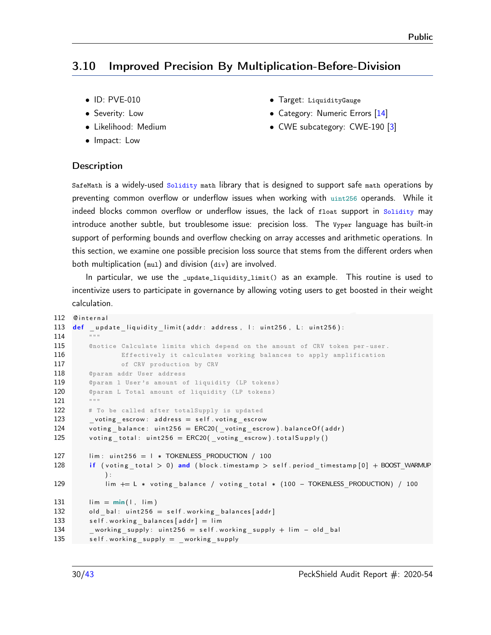# <span id="page-29-0"></span>3.10 Improved Precision By Multiplication-Before-Division

- ID: PVE-010
- Severity: Low
- Likelihood: Medium
- Impact: Low
- Target: LiquidityGauge
- Category: Numeric Errors [\[14\]](#page-41-3)
- CWE subcategory: CWE-190 [\[3\]](#page-40-1)

#### **Description**

SafeMath is a widely-used Solidity math library that is designed to support safe math operations by preventing common overflow or underflow issues when working with uint256 operands. While it indeed blocks common overflow or underflow issues, the lack of float support in Solidity may introduce another subtle, but troublesome issue: precision loss. The Vyper language has built-in support of performing bounds and overflow checking on array accesses and arithmetic operations. In this section, we examine one possible precision loss source that stems from the different orders when both multiplication (mul) and division (div) are involved.

In particular, we use the \_update\_liquidity\_limit() as an example. This routine is used to incentivize users to participate in governance by allowing voting users to get boosted in their weight calculation.

```
112 Cinternal
113 def update liquidity limit (addr: address, l: uint256, L: uint256):
114
115 ©notice Calculate limits which depend on the amount of CRV token per-user.
116 Effectively it calculates working balances to apply amplification
117 of CRV production by CRV
118 @param addr User address
119 C @param 1 User's amount of liquidity (LP tokens)
120 ©param L Total amount of liquidity (LP tokens)
121 """
122 # To be called after totalSupply is updated
123 _vo ting_e sc row : a d d r e s s = s e l f . v o ti n g_ e s c r o w
124 voting balance: uint 256 = ERC20 voting escrow) balance Of (addr)
125 voting total: uint 256 = ERC20 voting escrow) total Supply ()
127 lim: uint256 = l * TOKENLESS PRODUCTION / 100
128 if (voting total > 0) and (block timestamp > self period timestamp [0] + \text{BOOST WARMUP}\cdot129 lim += L * voting balance / voting total * (100 - TOKENLESS PRODUCTION) / 100
131 \lim = \min(1, \lim)132 old bal: u int 256 = \text{self} w or king balances [addr]
133 self working balances [addr] = lim
134 working supply: u int 256 = self . working supply + lim - old bal
135 self working supply = working supply
```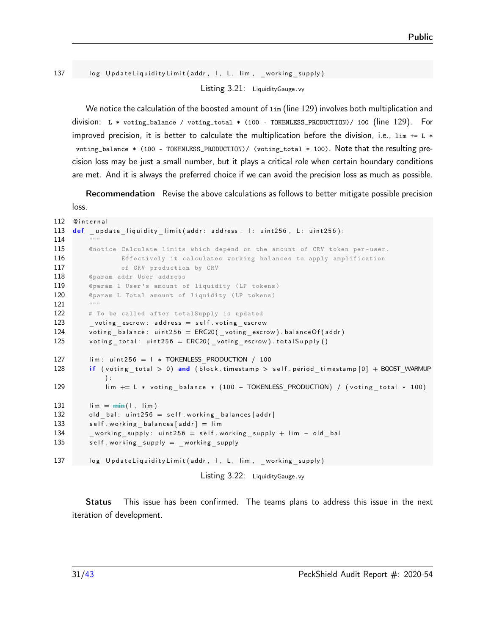137 log UpdateLiquidityLimit (addr, I, L, lim, working supply) Listing 3.21: LiquidityGauge .vy

We notice the calculation of the boosted amount of  $\lim$  (line 129) involves both multiplication and division: L \* voting\_balance / voting\_total \* (100 - TOKENLESS\_PRODUCTION)/ 100 (line 129). For improved precision, it is better to calculate the multiplication before the division, i.e.,  $\lim_{n \to \infty}$  += L  $*$ voting\_balance \* (100 - TOKENLESS\_PRODUCTION)/ (voting\_total \* 100). Note that the resulting precision loss may be just a small number, but it plays a critical role when certain boundary conditions are met. And it is always the preferred choice if we can avoid the precision loss as much as possible.

Recommendation Revise the above calculations as follows to better mitigate possible precision loss.

```
112 Cinternal
113 def update liquidity limit (addr: address, I: uint 256, L: uint 256):
114 """
115 Onotice Calculate limits which depend on the amount of CRV token per-user.
116 Effectively it calculates working balances to apply amplification
117 of CRV production by CRV
118 @param addr User address
119 OParam 1 User's amount of liquidity (LP tokens)
120 ©param L Total amount of liquidity (LP tokens)
121 """
122 # To be called after totalSupply is updated
123 voting escrow: address = self voting escrow
124 voting balance: uint 256 = ERC20 voting escrow) . balance Of (addr)
125 voting total: uint256 = ERC20( voting escrow). total Supply ()
127 lim: uint256 = l * TOKENLESS PRODUCTION / 100
128 if (voting total > 0) and (block.timestamp > self.period timestamp [0] + BOOST_WARMUP
           ) :
129 lim += L * voting balance * (100 - TOKENLESS PRODUCTION) / (voting total * 100)
131 \lim = \min(1, \lim)132 old bal: u int 256 = \text{self} w or king balances [addr]
133 self working balances [addr] = lim
134 working supply: u int 256 = self . working supply + lim - old bal
135 self working supply = working supply
137 log UpdateLiquidityLimit(addr, I, L, lim, working supply)
                                  Listing 3.22: LiquidityGauge .vy
```
Status This issue has been confirmed. The teams plans to address this issue in the next iteration of development.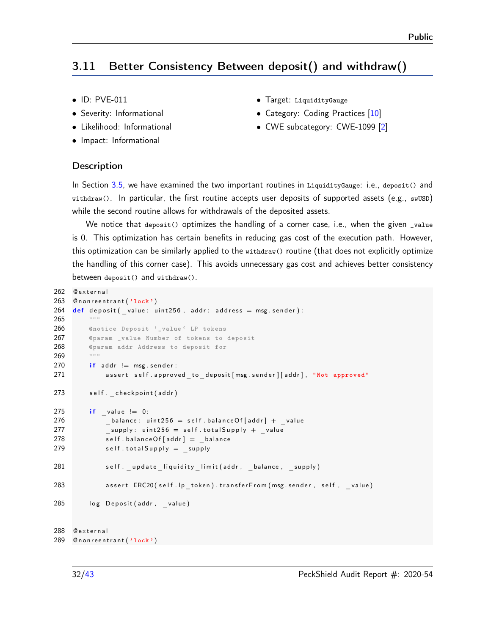# <span id="page-31-0"></span>3.11 Better Consistency Between deposit() and withdraw()

- ID: PVE-011
- Severity: Informational
- Likelihood: Informational
- Impact: Informational
- Target: LiquidityGauge
- Category: Coding Practices [\[10\]](#page-41-4)
- CWE subcategory: CWE-1099 [\[2\]](#page-40-7)

#### **Description**

In Section [3.5,](#page-17-0) we have examined the two important routines in LiquidityGauge: i.e., deposit() and withdraw(). In particular, the first routine accepts user deposits of supported assets (e.g., swUSD) while the second routine allows for withdrawals of the deposited assets.

We notice that deposit() optimizes the handling of a corner case, i.e., when the given \_value is 0. This optimization has certain benefits in reducing gas cost of the execution path. However, this optimization can be similarly applied to the withdraw() routine (that does not explicitly optimize the handling of this corner case). This avoids unnecessary gas cost and achieves better consistency between deposit() and withdraw().

```
262 @ external
263 Cnonreentrant ('lock')
264 def deposit (value: uint 256, addr: address = msg. sender):
265 """
266 @notice Deposit '_value ' LP tokens
267 @param _value Number of tokens to deposit
268 C @param addr Address to deposit for
269
270 if addr != msg. sender:
271 assert self.approved_to_deposit [msg.sender][addr], "Not approved"
273 self. checkpoint (addr)
275 if value != 0:
276 balance: u int 256 = \text{self}. balance Of [addr] + value
277 supply: uint 256 = \text{self} \cdot \text{total} Supply + value
278 self balance Of [addr] = balance
279 self.total Supply = supply
281 self. _update_liquidity_limit(addr, _balance, _supply)
283 assert ERC20 (self. lp_token). transfer From (msg. sender, self, value)
285 log Deposit (addr, value)
288 Cexternal
289 Cnonreentrant ('lock')
```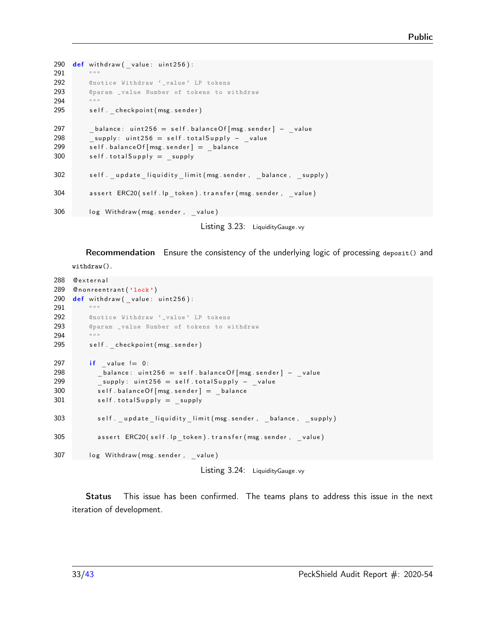```
290 \text{def} withdraw ( _value: uint256):
291 """
292 @notice Withdraw '_value ' LP tokens
293 @param _value Number of tokens to withdraw
294 """
295 self. checkpoint (msg. sender)
297 balance: uint 256 = self.balance Of [msg.sender] - value
298 Supply: uint 256 = self.total Supply - value
299 self. balance Of [msg. sender] = balance
300 self.total Supply = supply
302 self .update liquidity limit (msg sender, balance, supply)
304 assert ERC20 (self.lp_token).transfer (msg.sender, _value)
306 log Withdraw (msg. sender, _value)
```
Listing 3.23: LiquidityGauge .vy

Recommendation Ensure the consistency of the underlying logic of processing deposit() and

withdraw().

```
288 @ external
289 Cnonreentrant ('lock')
290 \det withdraw ( _value: uint256):
291 ""
292 @notice Withdraw '_value ' LP tokens
293 @param _value Number of tokens to withdraw
294 """
295 self. checkpoint (msg. sender)
297 if value != 0:
298 balance: uint 256 = \text{self}. balance Of \text{[msg}. sender ] - \text{value}299 Supply: uint256 = self.totalSupply - value
300 self balance Of [msg. sender] = balance
301 self.total Supply = supply
303 self. _update _liquidity _limit (msg.sender, _balance, _supply)
305 assert ERC20(self.lp token).transfer (msg.sender, value)
307 log Withdraw (msg. sender, value)
```
Listing 3.24: LiquidityGauge .vy

Status This issue has been confirmed. The teams plans to address this issue in the next iteration of development.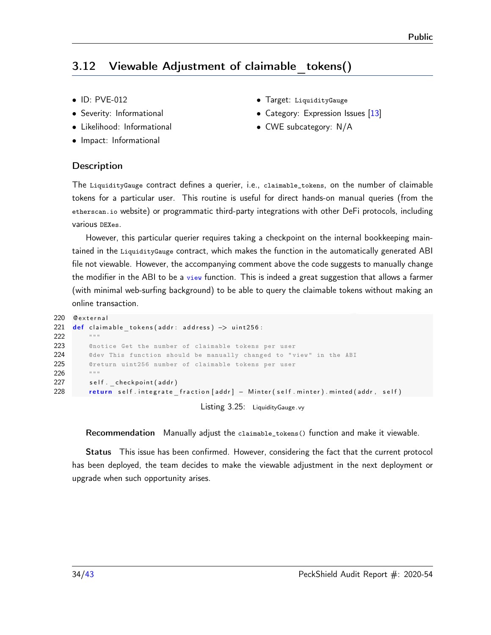# <span id="page-33-0"></span>3.12 Viewable Adjustment of claimable tokens()

- ID: PVE-012
- Severity: Informational
- Likelihood: Informational
- Impact: Informational
- Target: LiquidityGauge
- Category: Expression Issues [\[13\]](#page-41-7)
- CWE subcategory: N/A

#### **Description**

The LiquidityGauge contract defines a querier, i.e., claimable\_tokens, on the number of claimable tokens for a particular user. This routine is useful for direct hands-on manual queries (from the etherscan.io website) or programmatic third-party integrations with other DeFi protocols, including various DEXes.

However, this particular querier requires taking a checkpoint on the internal bookkeeping maintained in the LiquidityGauge contract, which makes the function in the automatically generated ABI file not viewable. However, the accompanying comment above the code suggests to manually change the modifier in the ABI to be a view function. This is indeed a great suggestion that allows a farmer (with minimal web-surfing background) to be able to query the claimable tokens without making an online transaction.

```
220 0 external
221 def claimable tokens (addr: address) -> uint256:
222 """
223 ©notice Get the number of claimable tokens per user
224 ©dev This function should be manually changed to "view" in the ABI
225 @return uint256 number of claimable tokens per user
226 """
227 self. checkpoint (addr)
228 return self.integrate_fraction [addr] - Minter (self.minter).minted (addr, self)
                                  Listing 3.25: LiquidityGauge .vy
```
Recommendation Manually adjust the claimable\_tokens() function and make it viewable.

Status This issue has been confirmed. However, considering the fact that the current protocol has been deployed, the team decides to make the viewable adjustment in the next deployment or upgrade when such opportunity arises.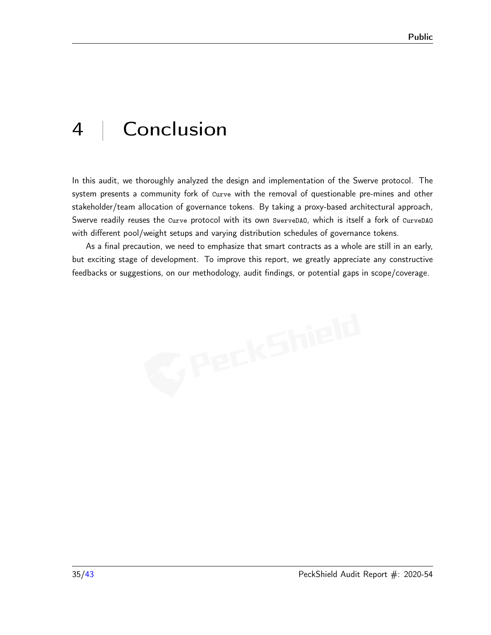# <span id="page-34-0"></span>4 | Conclusion

In this audit, we thoroughly analyzed the design and implementation of the Swerve protocol. The system presents a community fork of Curve with the removal of questionable pre-mines and other stakeholder/team allocation of governance tokens. By taking a proxy-based architectural approach, Swerve readily reuses the Curve protocol with its own SwerveDAO, which is itself a fork of CurveDAO with different pool/weight setups and varying distribution schedules of governance tokens.

As a final precaution, we need to emphasize that smart contracts as a whole are still in an early, but exciting stage of development. To improve this report, we greatly appreciate any constructive feedbacks or suggestions, on our methodology, audit findings, or potential gaps in scope/coverage.

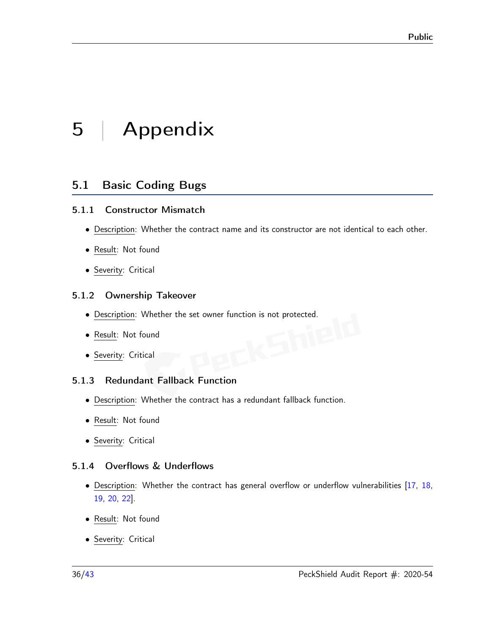# <span id="page-35-0"></span>5 | Appendix

# <span id="page-35-1"></span>5.1 Basic Coding Bugs

#### <span id="page-35-2"></span>5.1.1 Constructor Mismatch

- Description: Whether the contract name and its constructor are not identical to each other.
- Result: Not found
- Severity: Critical

#### <span id="page-35-3"></span>5.1.2 Ownership Takeover

- <u>Description</u>: Whether the set owner function is not protected.<br>• <u>Result</u>: Not found<br>• Severity: City
- Result: Not found
- Severity: Critical

# <span id="page-35-4"></span>5.1.3 Redundant Fallback Function

- Description: Whether the contract has a redundant fallback function.
- Result: Not found
- Severity: Critical

# <span id="page-35-5"></span>5.1.4 Overflows & Underflows

- Description: Whether the contract has general overflow or underflow vulnerabilities [\[17,](#page-41-8) [18,](#page-41-9) [19,](#page-41-10) [20,](#page-41-11) [22\]](#page-41-12).
- Result: Not found
- Severity: Critical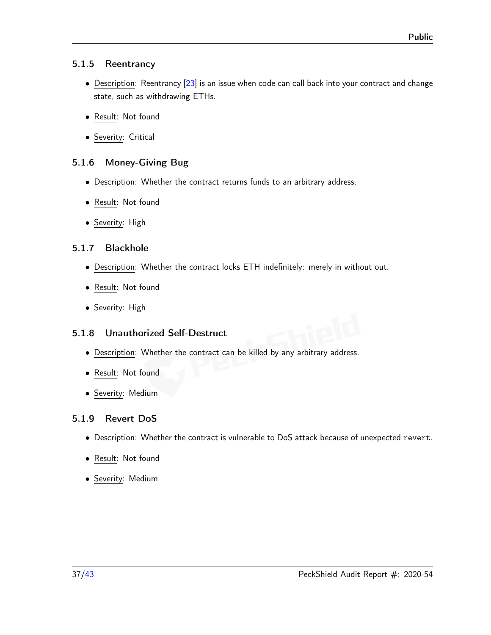#### <span id="page-36-0"></span>5.1.5 Reentrancy

- Description: Reentrancy [\[23\]](#page-42-1) is an issue when code can call back into your contract and change state, such as withdrawing ETHs.
- Result: Not found
- Severity: Critical

# <span id="page-36-1"></span>5.1.6 Money-Giving Bug

- Description: Whether the contract returns funds to an arbitrary address.
- Result: Not found
- Severity: High

#### <span id="page-36-2"></span>5.1.7 Blackhole

- Description: Whether the contract locks ETH indefinitely: merely in without out.
- Result: Not found
- Severity: High

# <span id="page-36-3"></span>5.1.8 Unauthorized Self-Destruct

- Description: Whether the contract can be killed by any arbitrary address.
- Result: Not found
- Severity: Medium

# <span id="page-36-4"></span>5.1.9 Revert DoS

- Description: Whether the contract is vulnerable to DoS attack because of unexpected revert.
- Result: Not found
- Severity: Medium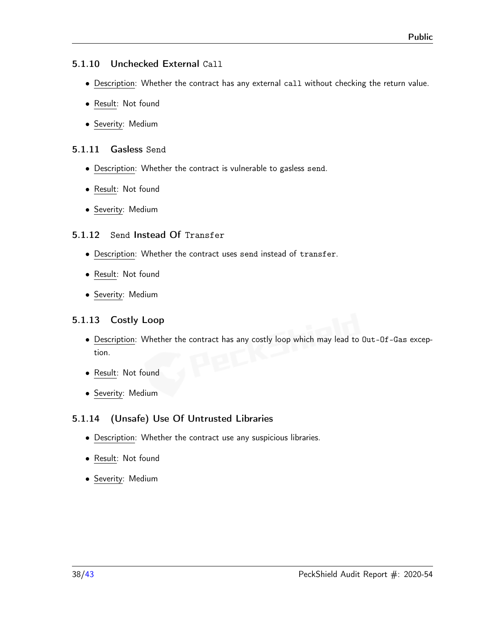#### <span id="page-37-0"></span>5.1.10 Unchecked External Call

- Description: Whether the contract has any external call without checking the return value.
- Result: Not found
- Severity: Medium

#### <span id="page-37-1"></span>5.1.11 Gasless Send

- Description: Whether the contract is vulnerable to gasless send.
- Result: Not found
- Severity: Medium

#### <span id="page-37-2"></span>5.1.12 Send Instead Of Transfer

- Description: Whether the contract uses send instead of transfer.
- Result: Not found
- Severity: Medium

# <span id="page-37-3"></span>5.1.13 Costly Loop

- Description: Whether the contract has any costly loop which may lead to Out-Of-Gas exception.
- Result: Not found
- Severity: Medium

# <span id="page-37-4"></span>5.1.14 (Unsafe) Use Of Untrusted Libraries

- Description: Whether the contract use any suspicious libraries.
- Result: Not found
- Severity: Medium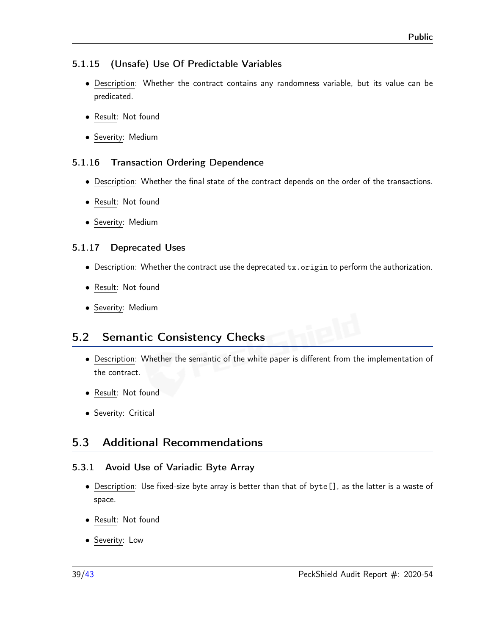# <span id="page-38-0"></span>5.1.15 (Unsafe) Use Of Predictable Variables

- Description: Whether the contract contains any randomness variable, but its value can be predicated.
- Result: Not found
- Severity: Medium

# <span id="page-38-1"></span>5.1.16 Transaction Ordering Dependence

- Description: Whether the final state of the contract depends on the order of the transactions.
- Result: Not found
- Severity: Medium

# <span id="page-38-2"></span>5.1.17 Deprecated Uses

- Description: Whether the contract use the deprecated tx.origin to perform the authorization.
- Result: Not found
- Severity: Medium

# <span id="page-38-3"></span>5.2 Semantic Consistency Checks

- Description: Whether the semantic of the white paper is different from the implementation of the contract.
- Result: Not found
- Severity: Critical

# <span id="page-38-4"></span>5.3 Additional Recommendations

# <span id="page-38-5"></span>5.3.1 Avoid Use of Variadic Byte Array

- Description: Use fixed-size byte array is better than that of byte[], as the latter is a waste of space.
- Result: Not found
- Severity: Low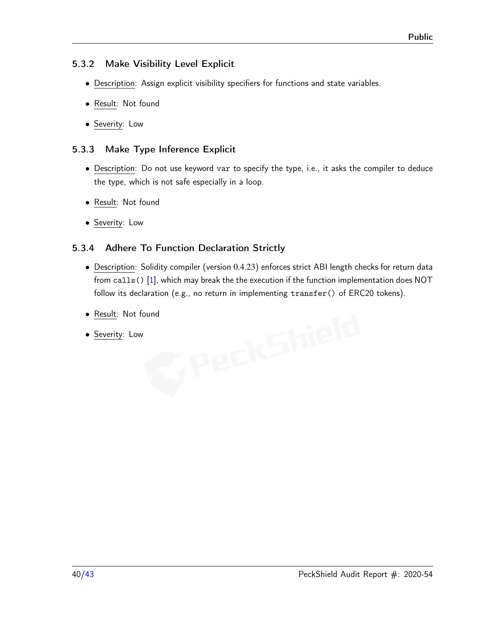#### <span id="page-39-0"></span>5.3.2 Make Visibility Level Explicit

- Description: Assign explicit visibility specifiers for functions and state variables.
- Result: Not found
- Severity: Low

# <span id="page-39-1"></span>5.3.3 Make Type Inference Explicit

- Description: Do not use keyword var to specify the type, i.e., it asks the compiler to deduce the type, which is not safe especially in a loop.
- Result: Not found
- Severity: Low

# <span id="page-39-2"></span>5.3.4 Adhere To Function Declaration Strictly

- Description: Solidity compiler (version 0*.*4*.*23) enforces strict ABI length checks for return data from calls() [\[1\]](#page-40-9), which may break the the execution if the function implementation does NOT follow its declaration (e.g., no return in implementing transfer() of ERC20 tokens).
- <u>Result</u>: Not found<br>• <u>Severity</u>: Low<br>• Severity: Low
- Severity: Low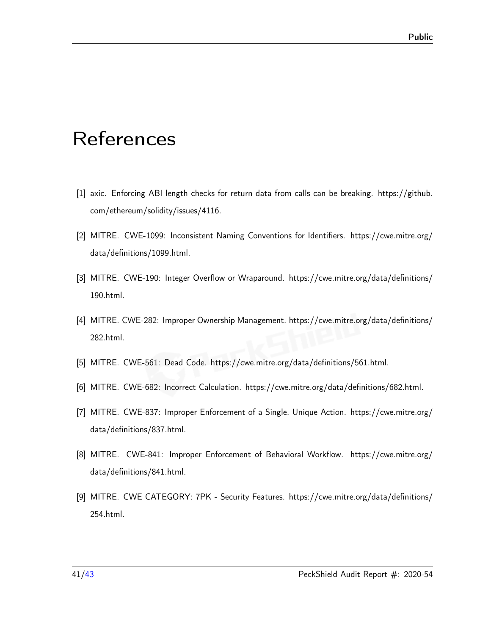# <span id="page-40-0"></span>References

- <span id="page-40-9"></span>[1] axic. Enforcing ABI length checks for return data from calls can be breaking. [https://github.](https://github.com/ethereum/solidity/issues/4116) [com/ethereum/solidity/issues/4116.](https://github.com/ethereum/solidity/issues/4116)
- <span id="page-40-7"></span>[2] MITRE. CWE-1099: Inconsistent Naming Conventions for Identifiers. [https://cwe.mitre.org/](https://cwe.mitre.org/data/definitions/1099.html) [data/definitions/1099.html.](https://cwe.mitre.org/data/definitions/1099.html)
- <span id="page-40-1"></span>[3] MITRE. CWE-190: Integer Overflow or Wraparound. [https://cwe.mitre.org/data/definitions/](https://cwe.mitre.org/data/definitions/190.html) [190.html.](https://cwe.mitre.org/data/definitions/190.html)
- <span id="page-40-3"></span>[4] MITRE. CWE-282: Improper Ownership Management. [https://cwe.mitre.org/data/definitions/](https://cwe.mitre.org/data/definitions/282.html) [282.html.](https://cwe.mitre.org/data/definitions/282.html)
- <span id="page-40-4"></span>[5] MITRE. CWE-561: Dead Code. [https://cwe.mitre.org/data/definitions/561.html.](https://cwe.mitre.org/data/definitions/561.html)
- <span id="page-40-8"></span>[6] MITRE. CWE-682: Incorrect Calculation. [https://cwe.mitre.org/data/definitions/682.html.](https://cwe.mitre.org/data/definitions/682.html)
- <span id="page-40-6"></span>[7] MITRE. CWE-837: Improper Enforcement of a Single, Unique Action. [https://cwe.mitre.org/](https://cwe.mitre.org/data/definitions/837.html) [data/definitions/837.html.](https://cwe.mitre.org/data/definitions/837.html)
- <span id="page-40-5"></span>[8] MITRE. CWE-841: Improper Enforcement of Behavioral Workflow. [https://cwe.mitre.org/](https://cwe.mitre.org/data/definitions/841.html) [data/definitions/841.html.](https://cwe.mitre.org/data/definitions/841.html)
- <span id="page-40-2"></span>[9] MITRE. CWE CATEGORY: 7PK - Security Features. [https://cwe.mitre.org/data/definitions/](https://cwe.mitre.org/data/definitions/254.html) [254.html.](https://cwe.mitre.org/data/definitions/254.html)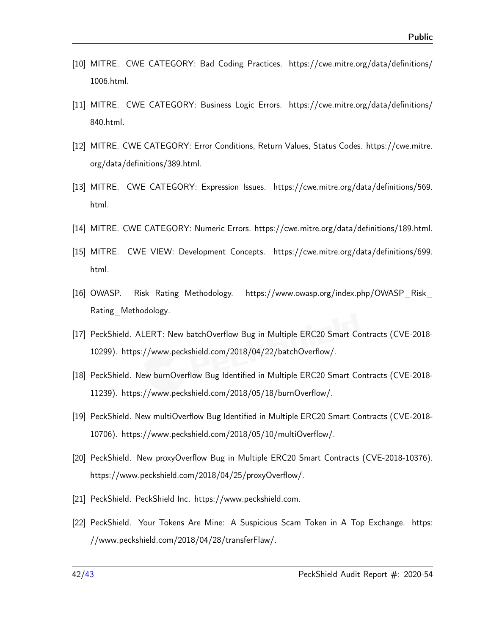- <span id="page-41-4"></span>[10] MITRE. CWE CATEGORY: Bad Coding Practices. [https://cwe.mitre.org/data/definitions/](https://cwe.mitre.org/data/definitions/1006.html) [1006.html.](https://cwe.mitre.org/data/definitions/1006.html)
- <span id="page-41-5"></span>[11] MITRE. CWE CATEGORY: Business Logic Errors. [https://cwe.mitre.org/data/definitions/](https://cwe.mitre.org/data/definitions/840.html) [840.html.](https://cwe.mitre.org/data/definitions/840.html)
- <span id="page-41-6"></span>[12] MITRE. CWE CATEGORY: Error Conditions, Return Values, Status Codes. [https://cwe.mitre.](https://cwe.mitre.org/data/definitions/389.html) [org/data/definitions/389.html.](https://cwe.mitre.org/data/definitions/389.html)
- <span id="page-41-7"></span>[13] MITRE. CWE CATEGORY: Expression Issues. [https://cwe.mitre.org/data/definitions/569.](https://cwe.mitre.org/data/definitions/569.html) [html.](https://cwe.mitre.org/data/definitions/569.html)
- <span id="page-41-3"></span><span id="page-41-2"></span>[14] MITRE. CWE CATEGORY: Numeric Errors. [https://cwe.mitre.org/data/definitions/189.html.](https://cwe.mitre.org/data/definitions/189.html)
- [15] MITRE. CWE VIEW: Development Concepts. [https://cwe.mitre.org/data/definitions/699.](https://cwe.mitre.org/data/definitions/699.html) [html.](https://cwe.mitre.org/data/definitions/699.html)
- <span id="page-41-1"></span>[16] OWASP. Risk Rating Methodology. [https://www.owasp.org/index.php/OWASP\\_Risk\\_](https://www.owasp.org/index.php/OWASP_Risk_Rating_Methodology) [Rating\\_Methodology.](https://www.owasp.org/index.php/OWASP_Risk_Rating_Methodology)
- <span id="page-41-8"></span>[17] PeckShield. ALERT: New batchOverflow Bug in Multiple ERC20 Smart Contracts (CVE-2018- 10299). [https://www.peckshield.com/2018/04/22/batchOverflow/.](https://www.peckshield.com/2018/04/22/batchOverflow/)
- <span id="page-41-9"></span>[18] PeckShield. New burnOverflow Bug Identified in Multiple ERC20 Smart Contracts (CVE-2018- 11239). [https://www.peckshield.com/2018/05/18/burnOverflow/.](https://www.peckshield.com/2018/05/18/burnOverflow/)
- <span id="page-41-10"></span>[19] PeckShield. New multiOverflow Bug Identified in Multiple ERC20 Smart Contracts (CVE-2018- 10706). [https://www.peckshield.com/2018/05/10/multiOverflow/.](https://www.peckshield.com/2018/05/10/multiOverflow/)
- <span id="page-41-11"></span>[20] PeckShield. New proxyOverflow Bug in Multiple ERC20 Smart Contracts (CVE-2018-10376). [https://www.peckshield.com/2018/04/25/proxyOverflow/.](https://www.peckshield.com/2018/04/25/proxyOverflow/)
- <span id="page-41-12"></span><span id="page-41-0"></span>[21] PeckShield. PeckShield Inc. [https://www.peckshield.com.](https://www.peckshield.com)
- [22] PeckShield. Your Tokens Are Mine: A Suspicious Scam Token in A Top Exchange. [https:](https://www.peckshield.com/2018/04/28/transferFlaw/) [//www.peckshield.com/2018/04/28/transferFlaw/.](https://www.peckshield.com/2018/04/28/transferFlaw/)